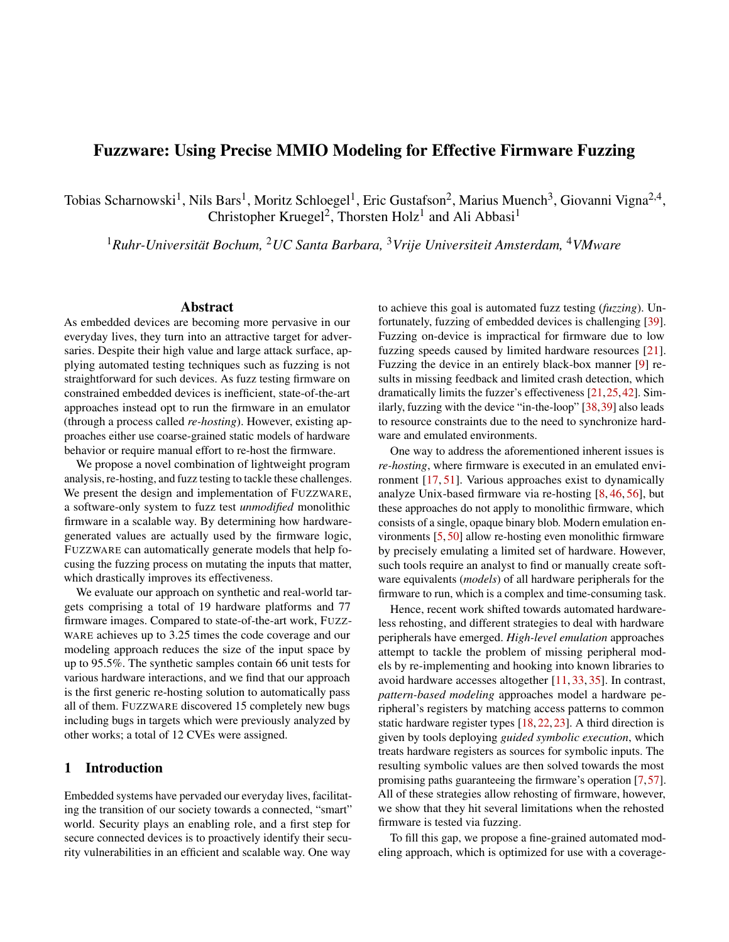## Fuzzware: Using Precise MMIO Modeling for Effective Firmware Fuzzing

Tobias Scharnowski<sup>1</sup>, Nils Bars<sup>1</sup>, Moritz Schloegel<sup>1</sup>, Eric Gustafson<sup>2</sup>, Marius Muench<sup>3</sup>, Giovanni Vigna<sup>2,4</sup>, Christopher Kruegel<sup>2</sup>, Thorsten Holz<sup>1</sup> and Ali Abbasi<sup>1</sup>

<sup>1</sup>*Ruhr-Universität Bochum,* <sup>2</sup>*UC Santa Barbara,* <sup>3</sup>*Vrije Universiteit Amsterdam,* <sup>4</sup>*VMware*

#### Abstract

As embedded devices are becoming more pervasive in our everyday lives, they turn into an attractive target for adversaries. Despite their high value and large attack surface, applying automated testing techniques such as fuzzing is not straightforward for such devices. As fuzz testing firmware on constrained embedded devices is inefficient, state-of-the-art approaches instead opt to run the firmware in an emulator (through a process called *re-hosting*). However, existing approaches either use coarse-grained static models of hardware behavior or require manual effort to re-host the firmware.

We propose a novel combination of lightweight program analysis, re-hosting, and fuzz testing to tackle these challenges. We present the design and implementation of FUZZWARE, a software-only system to fuzz test *unmodified* monolithic firmware in a scalable way. By determining how hardwaregenerated values are actually used by the firmware logic, FUZZWARE can automatically generate models that help focusing the fuzzing process on mutating the inputs that matter, which drastically improves its effectiveness.

We evaluate our approach on synthetic and real-world targets comprising a total of 19 hardware platforms and 77 firmware images. Compared to state-of-the-art work, FUZZ-WARE achieves up to 3.25 times the code coverage and our modeling approach reduces the size of the input space by up to 95.5%. The synthetic samples contain 66 unit tests for various hardware interactions, and we find that our approach is the first generic re-hosting solution to automatically pass all of them. FUZZWARE discovered 15 completely new bugs including bugs in targets which were previously analyzed by other works; a total of 12 CVEs were assigned.

### 1 Introduction

Embedded systems have pervaded our everyday lives, facilitating the transition of our society towards a connected, "smart" world. Security plays an enabling role, and a first step for secure connected devices is to proactively identify their security vulnerabilities in an efficient and scalable way. One way

to achieve this goal is automated fuzz testing (*fuzzing*). Unfortunately, fuzzing of embedded devices is challenging [39]. Fuzzing on-device is impractical for firmware due to low fuzzing speeds caused by limited hardware resources [21]. Fuzzing the device in an entirely black-box manner [9] results in missing feedback and limited crash detection, which dramatically limits the fuzzer's effectiveness [21,25,42]. Similarly, fuzzing with the device "in-the-loop" [38,39] also leads to resource constraints due to the need to synchronize hardware and emulated environments.

One way to address the aforementioned inherent issues is *re-hosting*, where firmware is executed in an emulated environment [17, 51]. Various approaches exist to dynamically analyze Unix-based firmware via re-hosting [8, 46, 56], but these approaches do not apply to monolithic firmware, which consists of a single, opaque binary blob. Modern emulation environments [5, 50] allow re-hosting even monolithic firmware by precisely emulating a limited set of hardware. However, such tools require an analyst to find or manually create software equivalents (*models*) of all hardware peripherals for the firmware to run, which is a complex and time-consuming task.

Hence, recent work shifted towards automated hardwareless rehosting, and different strategies to deal with hardware peripherals have emerged. *High-level emulation* approaches attempt to tackle the problem of missing peripheral models by re-implementing and hooking into known libraries to avoid hardware accesses altogether [11, 33, 35]. In contrast, *pattern-based modeling* approaches model a hardware peripheral's registers by matching access patterns to common static hardware register types [18, 22, 23]. A third direction is given by tools deploying *guided symbolic execution*, which treats hardware registers as sources for symbolic inputs. The resulting symbolic values are then solved towards the most promising paths guaranteeing the firmware's operation [7,57]. All of these strategies allow rehosting of firmware, however, we show that they hit several limitations when the rehosted firmware is tested via fuzzing.

To fill this gap, we propose a fine-grained automated modeling approach, which is optimized for use with a coverage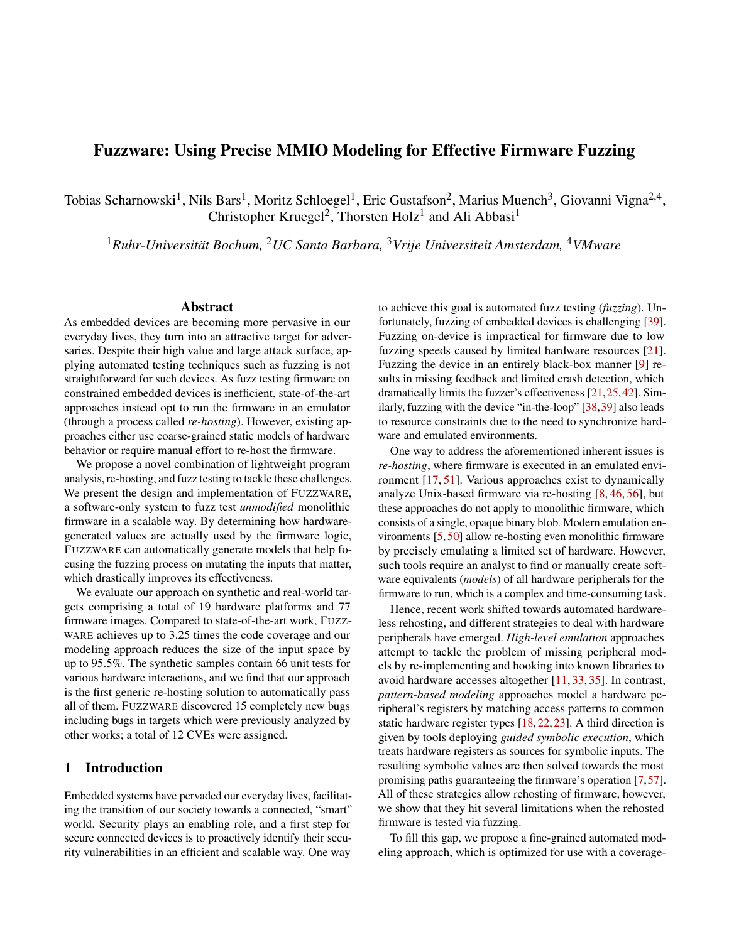guided fuzzer. Our approach is driven by the insight that many accesses to hardware peripherals are short-lived and occur for reasons unrelated to the firmware's overall behavior, such as to check a peripheral's status or set its configuration. For the accesses that *do* influence its behavior, the firmware often leaves large parts of its input unused, e. g., directly by extracting only a couple of bits from a 32-bit value, or indirectly by differentiating between only a handful of status values. By regularly querying more data than it uses, the firmware incurs significant *input overhead* while accessing hardware.

To eliminate this overhead, once per unique peripheral access, we utilize locally-scoped dynamic symbolic execution (DSE) and analyze which parts of the hardware-generated value are actually meaningful to firmware logic. However, unlike prior approaches, we do not use the DSE engine to solve towards specific values for exploring specific parts of the firmware's functionality. Instead, we use the generated constraints to infer generic *access models* geared towards input overhead elimination. These access models are then used to configure an emulator, and their concrete values are later served by the fuzzer. An important aspect of this modeling approach is that at no point during emulation do our models take actual decisions, or prioritize one decision over another. The single goal of this modeling is to present the original set of choices to the fuzzer with as little overhead as possible. Consequently, the fuzzer can still explore all paths that the firmware could take based on hardware-generated values.

We implement our approach in a tool named FUZZWARE and evaluate it against 77 firmware images spanning a total of 19 hardware platforms. Our evaluation shows that while consuming 0.5%-2% of the total experiment computation time, our access models eliminate up to 95.5% of inputs as *input overhead*, allowing the fuzzer to focus on mutating only the relevant 4.5% of hardware-generated values. Compared to state-of-the-art tools [18, 57], FUZZWARE achieves up to 3.25 times the coverage (over a period of 24 hours), discovers additional bugs in samples already analyzed by those tools, and is the first approach to achieve a perfect passing score on the rehosting unit test benchmark introduced by P2IM [18]. Finally, we show how FUZZWARE can be used to identify vulnerabilities in complex, real-world targets. To this end, we analyze the network stacks of two widely-used embedded firmware frameworks, ZEPHYR [55] and CONTIKI-NG [12]. We discovered 15 previously unknown vulnerabilities, leading to the assignment of 12 CVEs.

In summary, we make the following contributions:

- We propose a novel, fine-grained *access modeling* approach which preserves all paths through firmware logic and allows a fuzzer to efficiently mutate only meaningful hardware-generated values.
- We describe and implement FUZZWARE, a highly efficient, self-adapting fuzzing system capable of testing monolithic firmware images in an OS-agnostic way.

• In several experiments, we show that FUZZWARE outperforms prior work on testing embedded firmware. Our prototype found 12 previously unknown vulnerabilities in core embedded network stacks which we responsibly disclosed to the affected vendors.

To foster research on this topic, we will release FUZZWARE, the experimental data sets, and the bug details at [https://](https://github.com/fuzzware-fuzzer/fuzzware) github*:*[com/fuzzware-fuzzer/fuzzware](https://github.com/fuzzware-fuzzer/fuzzware).

### 2 Technical Background

Before explaining the technical details of our approach, we first discuss different aspects of embedded systems and firmware that make them interesting and difficult to analyze.

#### <span id="page-1-1"></span>2.1 Monolithic Embedded Systems

Embedded systems are often purpose-built, resourceconstrained devices. The code these systems run is known as *firmware*. The firmware of an embedded system is responsible for all the device's functions and may or may not contain a traditional OS. Monolithic firmware images, which are the focus of this work, contain none of the traditional metadata found in binary executables. This makes them difficult to analyze by traditional means.

#### <span id="page-1-0"></span>2.2 Memory-mapped IO

Modern CPU architectures allow for accesses to its peripherals via *memory-mapped I/O (MMIO)*. These peripherals are assigned a region of the device's physical memory space. Each of the region's memory locations, termed *MMIO registers* in chip documentation, is accessed via regular load/store instructions. Rather than behaving like normal memory, these instructions instead trigger hardware behaviors in the affected peripheral. For example, consider a button connected to a GPIO pin of an embedded microcontroller (MCU). The MCU can check whether the button is pressed by reading from the MMIO register that represents its GPIO pin. MMIO registers of different types perform certain roles, such as identification, status (e. g., whether a button is pressed), configuration, and data transfer. As such, MMIO registers can *quickly change values* at any time. Registers vary in terms of their size (bitwidth) as well as allowing read and/or write operations.

Consider firmware code running on an MCU with a serial port. Figure [1](#page-2-0) shows how the I/O of such an MCU may be organized. After configuring the serial baud rate, the firmware waits for a command to initiate a data transfer. The user connects via their own computer to a serial communication port in the MCU. The firmware notices incoming data by checking the serial peripheral's status registers and reads the serial data via the peripheral's data register. Note that there exists no standardized source of input, such as Stdin. Input into embed-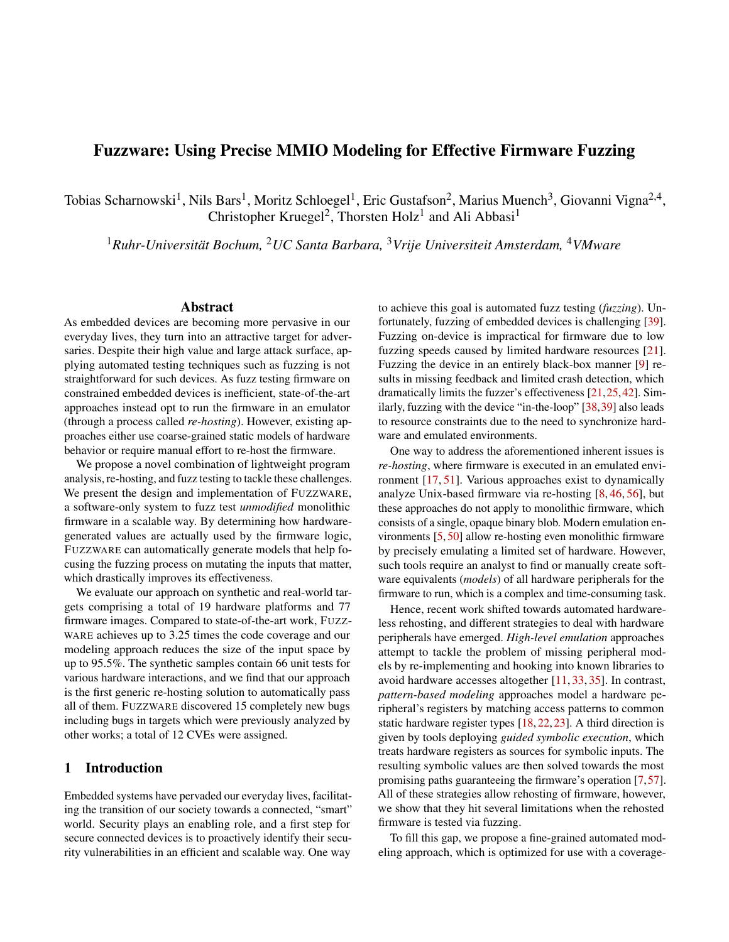<span id="page-2-0"></span>

Figure 1: Memory layout of a hypothetical embedded system, showing the correspondence between the memory map, peripherals, and MMIO registers.

ded systems may come from numerous hardware peripherals, potentially even multiple sources in the same device.

#### 2.3 Interrupts and DMA

In addition to the software-initiated communication channels, the hardware has two additional means to communicate with its firmware: First, hardware uses interrupts to notify the software of asynchronous events [32]. For example, a serial port could be configured to trigger an interrupt when data arrives, allowing it to be processed immediately. The CPU tracks these interrupts by their interrupt number and maintains a table of firmware functions, so-called interrupt service routines (ISRs), which process new events. Depending on the CPU model, interrupts can also be selectively disabled, or given a priority level, allowing some interrupts to take precedence. The association of the peripheral with its interrupt number depends on the specific CPU model in use and may vary widely, even within products from the same vendor. The second asynchronous communication channel is called direct memory access (DMA), which is configured via MMIO. Using DMA, a peripheral is able to update firmware-accessible regular memory by talking directly to the memory controller and without involving the CPU. While interrupts are universally used as a source of input into firmware, DMA is primarily used in high-throughput scenarios such as USB.

#### 2.4 Re-Hosting Embedded Systems

Firmware re-hosting is a way to run a firmware binary image without relying on actual hardware. Emulating firmware in a fully virtualized environment allows multiple emulator instances to be run in parallel and thus enables effective dynamic analysis techniques such as fuzzing. Generally speaking, to re-host firmware, one needs to emulate three main interactions between firmware and hardware: interrupts, DMA, and MMIO. From these three, MMIO, which we focus on in this work, represents a significant share and is used universally. We need to properly handle MMIO accesses to even reach the parts of firmware that perform DMA. To handle MMIO behavior in firmware, various approaches take different directions. For example, QEMU fully re-implements the

behavior of each MMIO register. While this approach can precisely emulate MMIO, it requires a significant amount of engineering effort for each emulated peripheral, as well as access to full hardware documentation.

An alternative approach to modeling MMIO peripheral behavior is *approximation*. The basic idea is to involve a fuzzer to handle MMIO accesses just as they would occur in practice. In its most naïve form, a fuzzer-provided value can directly be served as a hardware-generated value, whenever firmware code accesses an MMIO register. This general approach is appealing, as it allows running the firmware without a priori knowledge about MMIO usage and handling MMIO accesses even if no precise implementation of a peripheral is available. However, as we will discuss next, this is very challenging: a fuzzer has to provide inputs for an overwhelming amount of MMIO accesses, many of which are irrelevant to firmware behavior, and hence such an approach does not scale to realworld systems.

#### 3 MMIO Access Handling

As discussed in the previous section, firmware universally relies on MMIO accesses. Therefore, handling MMIO accesses during emulation is crucial to enabling efficient firmware fuzzing. In the following, we investigate why a naïve fuzzingbased approach to MMIO access handling exposes the fuzzer to large amounts of *input overhead*. Next, we discuss previous approaches to removing this overhead via MMIO modeling and their shortcomings in enabling effective, scalable fuzzing.

#### 3.1 Input Overhead

Assume a naïve approach where bits from a random byte stream generated by a fuzzer are served as *hardwaregenerated values* (i. e., values which, from the firmware's perspective, are provided by a hardware MMIO register). We refer to these bits as the fuzzer-mutated *input space* which is then processed by the firmware logic. This input space contains both *relevant* bits, i. e., bits affecting the firmware logic, and *input overhead*. For each MMIO access, we differentiate between two types of input overhead:

- *Full input overhead*: No bit provided by the fuzzer is relevant. In other words, the emulator could have handled the MMIO access statically, e. g., by providing an arbitrary value.
- *Partial input overhead*: One or more bits are relevant, i. e., they influence the firmware logic (e.g., by influencing control-flow decisions), while other bits do not. For example, consider firmware code that accesses a 32 bit wide MMIO register, but actually uses only 8 bits of the resulting hardware-generated value. If the full 32 bits of fuzzing input are consumed to serve the access, 24 bits of *partial input overhead* are introduced.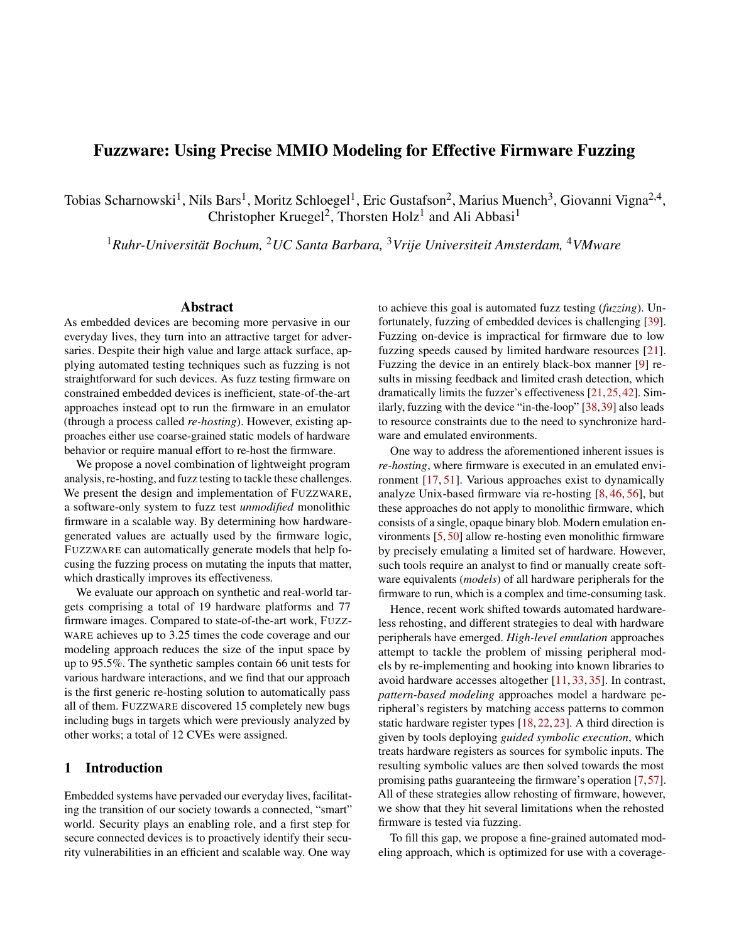<span id="page-3-0"></span>

Figure 2: An example of a function for retrieving input from a serial port peripheral. The annotations indicate resulting MMIO accesses relating to overhead (gray) and actual application data (black).

While fundamentally simple, these overhead types govern the fuzzer's efficiency: Exposing the fuzzer to input overhead leads the fuzzer to mutate bits that do not affect firmware logic, hence wasting resources. To better understand this in practice, we explore two code examples which are inspired by realworld firmware and represent typical firmware operations.

Example 1. Figure [2](#page-3-0) shows a typical firmware function that retrieves a character from a serial port. This function waits for the serial port to have data available  $(1)$  in Figure [2\)](#page-3-0), triggers a GPIO write (e.g., to turn on a busy indicator LED) in  $(2)$ , and finally returns one byte of data. The waiting for serial data involves polling for a specific value  $(1)$ , defined by the hardware, which indicates that one byte has arrived. Without modeling, the fuzzer is rather unlikely to feed the correct value to the MMIO access, thus bottle-necking on the loop until the correct input is found by chance. As only one specific value is accepted, this is a prime example of full input overhead hindering the fuzzing process. While writing to GPIO might be seen as an MMIO write operation, GPIO bits are typically packed into registers with 32 bits representing 32 GPIO pins. Therefore, to perform a GPIO operation without affecting the nearby bits, we must read 4 bytes  $(2)$ , flip the desired bit, and write the result back. The data initially read has no impact on the program (full input overhead). Eventually, we read the actual data from the serial port  $(3)$ . While this serial port is byte-oriented, the MMIO register itself is typically 4 bytes wide, i. e., we read 3 bytes more than needed. To prevent any side-effects of this operation, the firmware masks off only the data byte and returns it. This is a case of partial input overhead. As a result, *only a single one* of the 12 (or more) bytes read in this function is passed on to firmware logic (marked as a black square in Figure [2\)](#page-3-0). For this function, a naïve modeling approach that passes fuzzer input to each MMIO access has a minimum input overhead of 92%. The actual overhead is likely even larger if the fuzzer needs multiple attempts to guess the value of HAS\_DATA.

Example 2. Figure [3](#page-3-1) shows another set of typical firmware code constructs that introduce a less obvious source of *partial input overhead*. The function decides which operation to

```
 1 void perform_op() {
 2 // Check requested operation
    3 switch (mmio->op) {
 4 case A: handle_A(); break;
 5 case B: handle_B(); break;
 6 case C:
 7 if(mmio->status == SPECIAL) {
8 handle_C_special(); break;
9 } else {
10 handle_C_default(); break;
11 }
   default: housekeeping();<br>}
13 }
14 }
```
Figure 3: An example of a function that takes actions based on MMIO input using switch/case and if/else constructs.

execute based on a hardware-generated value (Line 3) and, in one case (Line 7), also checks the peripheral's status register. Without further insight, the fuzzer would have to provide 4 bytes (32 bits) for each MMIO access and correctly guess meaningful values. The fuzzer's large input space is contrasted by the limited number of meaningful values it can find: The firmware differentiates between only 2 status conditions (special or non-special) as well as 4 different operations (A, B, C, or default). These choices can be expressed by only 1 and 2 meaningful bits respectively, resulting in 94% and 97% *partial input overhead*.

#### <span id="page-3-2"></span>3.2 Previous MMIO Modeling Approaches

In essence, recently proposed hardware-less rehosting approaches deploy one of the following strategies to deal with unknown peripherals:

- *High-level emulation* gets past the need of modeling specific hardware peripherals by completely avoiding MMIO accesses. Previous work abstracts firmware code that performs low-level MMIO accesses by hooking into, and manually handling, higher-level library functions [11, 35].
- *Pattern-based MMIO modeling* tackles MMIO accesses directly. They allow emulated firmware to perform MMIO accesses and attempt to reduce the input space by using access pattern-based heuristics [18, 22, 23]. This means that one observes accesses to an MMIO register, matches these observations to common, pre-defined patterns, and assigns a model to that specific MMIO register. This model then determines how to serve future accesses to this register.
- *Guided Symbolic Execution-based modeling* approaches [7, 57] improve upon pattern-based MMIO modeling. Instead of assigning static patterns based on heuristics, accesses to hardware are treated as symbolic values. Whenever a concrete value for one MMIO access is needed, the underlying symbolic variable is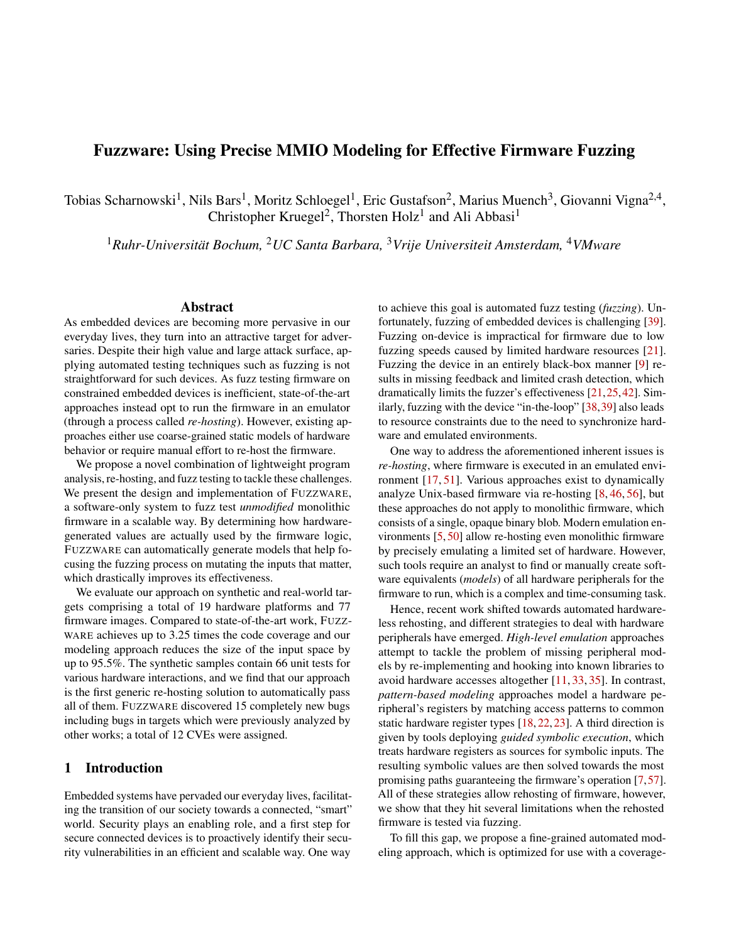solved towards the most *promising* path, i. e., more coverage of the firmware logic.

We identify three problems with the current approaches to MMIO modeling: (1) per-firmware manual effort, (2) incomplete overhead elimination, and (3) path elimination.

Per-firmware manual effort. All prior solutions require manual work when preparing specific firmware for fuzzing campaigns. For instance, this includes the creation of HAL abstractions, correcting misclassified MMIO registers, or identifying *alive* and *kill* points to steer the symbolic execution engine. Although recent approaches [7, 57] deploy heuristics to reduce the manual involvement, we note that in practical usage, firmware-specific knowledge is still required, limiting the flexibility for fuzz testing.

Incomplete overhead elimination. While effective in removing full input overhead, pattern-based approaches generally make assumptions about hardware behavior based on conventions of how firmware is "typically" implemented rather than considering actual firmware logic. However, they are unable to identify which parts of an input are actually used by firmware, i. e., they cannot eliminate *partial input overheads*.

Consider Example 1 from the perspective of pattern-based register modeling. As pattern-based MMIO modeling approaches lack insight into firmware-internal logic, they are unaware of the fact that 3 out of the 4 bytes read from the serial data register  $(3)$  in Figure [2\)](#page-3-0) are discarded. As a result, these approaches cannot eliminate the 75% of partial input overhead introduced by the access.

While incomplete overhead elimination does not affect rehosting itself, it becomes problematic during fuzz testing: a fuzzer will spend a significant amount of time mutating values that have no impact on program logic.

Path elimination. While guided symbolic execution-based approaches reduce large parts of input overhead, they willingly accept to leave specific parts of the firmware unexplored during fuzz testing, i. e., eliminating available execution paths from the firmware. High-level emulation replaces full parts of the firmware with abstractions, and pattern-based MMIO may miscategorize certain registers or wrongly conclude that no relevant options exist for a given MMIO access. Guided symbolic execution-based approaches use heuristics and human insights to decide which paths are worthwhile to explore.

Although path elimination allows for rehosting of the firmware, it has severe consequences for fuzz testing. First, eliminating specific paths may render large parts of the firmware's functionality unreachable and in turn impossible to analyze. Even assuming correct modeling, path elimination will affect error handling and recovery functions, which may contain bugs, and should not be dismissed. Furthermore, we argue that differentiating between regular firmware behavior and error handling functionality is an undecidable problem in the general case: Error conditions may be met in firmware logic with complex diagnostics and recovery attempts. At the

same time, regular firmware behavior that inconspicuously waits for asynchronous events may appear as an infinite loop which does not perform any meaningful operations. This directly reflects on state-of-the-art solutions, which run into execution stalls without human assistance [18, 57].

Following these insights, we conclude that an effective rehosting solution for fuzz testing must avoid path elimination, while at the same time reducing the per-firmware manual effort and eliminate as much input overhead as possible, which is directly reflected in our design.

### 4 Design

In the following, we introduce the design of FUZZWARE, a generic firmware fuzzing approach that allows a fuzzer to efficiently explore firmware behavior by precisely eliminating both partial and full input overhead.

To this end, we base our modeling on lightweight program analysis techniques that allow us to spot partial uses of hardware-generated values. To analyze the behavior of firmware code, we employ dynamic symbolic execution (DSE) [43]. DSE allows us to generate a set of constraints representing all possible uses of a hardware-generated value. Evaluating these constraints allows us to narrow down the set of values to be explored by the fuzzer. Typically, using symbolic execution for modeling introduces high computation costs due to the state explosion problem. We avoid this drawback by using *local DSE*, where DSE is used only to execute the code in the context of a specific MMIO access. We describe the details of limiting the DSE's scope in Section [4.3.](#page-5-0)

#### 4.1 Prerequisites and Threat Model

FUZZWARE has the following prerequisites and threat model:

Prerequisites. FUZZWARE shares two basic prerequisites with all other re-hosting systems: First, we assume that we are able to obtain a binary firmware image for the target device. Second, just like other re-hosting systems, we assume basic memory mappings such as RAM ranges and the broad MMIO space to be provided. Depending on the target CPU architecture, these generic ranges may be standardized [1].

Threat Model. Given no additional knowledge about the specific hardware environment of a given binary firmware image, we assume during fuzzing that an attacker is able to control the inputs provided to the firmware. Commonly, these inputs may correspond to the contents of an incoming network packet read via MMIO, data received via a serial interface, or sensory data such as temperature measurements. We analyze situations where an attacker has less control over hardware-generated values in Section 6.4.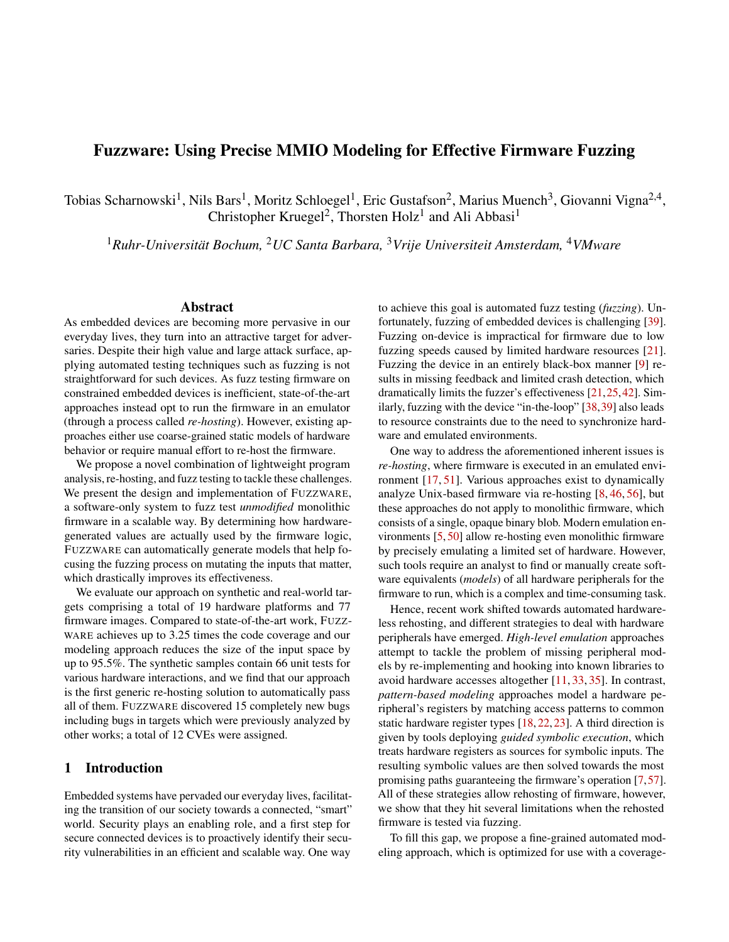<span id="page-5-1"></span>

Figure 4: FUZZWARE's MMIO access handling design. The fuzzing engine generates a raw input file. Upon MMIO accesses, chunks of the input file are consumed by MMIO access models and translated into (potentially larger) hardware-generated values, which are then served to the emulated firmware. Once the raw input is exhausted, coverage feedback is provided to the fuzzing engine to guide the fuzzing process.

#### 4.2 FUZZWARE's Emulator

We now describe the design of FUZZWARE's emulation component. Figure [4](#page-5-1) shows that, from a high-level point of view, FUZZWARE uses an ISA emulator and a coverage-guided fuzzing engine (fuzzer). As FUZZWARE aims to eliminate *partial input overhead*, we introduce *access models*, a mechanism to *translate* small amounts of fuzzing input bits into values that are meaningful to firmware logic, while eliminating input overhead in the process.

We start by loading a given monolithic firmware image into the ISA emulator. We set up a harness that dynamically intercepts all *MMIO accesses*, i. e., memory operations performed by the emulated firmware code on all addresses within MMIO regions. The harness is provided a *raw input* (i. e., a plain binary file) generated by the coverage-guided fuzzer; then, it starts firmware code emulation. The raw input is consumed in chunks to serve MMIO accesses. Whenever firmware code performs an MMIO access, the harness checks whether we already assigned an *MMIO access model* to this specific access. If a model is available, and depending on the type of input overhead, the harness may be able to handle the access without consuming any raw input (in case of *full input overhead*). Otherwise, the harness consumes a chunk of raw input and translates it into a hardware-generated value via the model (*partial input overhead*). The hardware-generated value is then used to serve the MMIO access. The emulator runs the firmware code until the fuzzer's raw input is exhausted and it can no longer serve MMIO accesses. We term this emulation cycle an *emulation run*. As an emulation run is concluded, the harness restores firmware to its clean state, and reports coverage feedback for the previous emulation run to the fuzzer. Based on this feedback, the fuzzer generates another raw input and provides it to the harness for the next emulation run.

However, if during emulation a specific MMIO access has no model assigned yet, raw input chunks are used as hardwaregenerated values without translation. In parallel to ongoing fuzzing, FUZZWARE initiates modeling of each newly seen

*MMIO access context* (the pair of current program counter and MMIO address). In a separate emulator instance, we create a snapshot of the firmware's state (i. e., register and memory) right before the MMIO access. We use symbolic execution from this snapshot to derive a matching model (described in detail in Section [4.3\)](#page-5-0). We then re-configure the emulator with new models, allowing the fuzzer to more effectively discover further firmware logic with less input overhead.

We bootstrap this fuzzing loop by providing no initial MMIO access models. Models are continuously generated and added to the emulator configuration while the fuzzer is active. This design provides a generic, self-adapting firmware emulation environment, which allows a fuzzing engine to explore unknown firmware with minimized input overhead.

#### <span id="page-5-0"></span>4.3 Modeling Approach

As previously explained, for each MMIO access context (i.e., program counter and accessed MMIO address), we construct an access model. To do so, we replay the input for which the new MMIO access is performed, and snapshot the emulator's register and memory state just before firmware would perform the MMIO access. We pass this snapshot on to our DSE engine for modeling, and symbolically execute the code, starting from the snapshot. Each MMIO access observed during the symbolic execution is treated as a separate symbolic variable.

Modeling Analysis Scope. We track the first MMIO access (as well as any additional accesses from the same access context), to follow whether the resulting symbolic variable is still *alive*, i. e., at least one symbolic expression in memory or a register still depends on it. The symbolic execution continues until one of the following events occurs:

- 1. All tracked symbolic variable are dead (i. e., not alive),
- 2. the current function returns,
- 3. a tracked symbolic variable is leaving the scope of the analysis (i. e., it is written to global memory or to a stack frame of a function higher in the call stack), or
- 4. a pre-defined limit of computation resources is exhausted (timeout, number of symbolic states, or number of DSE steps was reached).

Using these exit conditions, we narrow down DSE to a small, manageable scope, in which we are able to observe all actions that firmware takes based on an MMIO access. At the same time, we do not model uses of a hardware-generated value beyond this scope. The rationale behind this scoping decision lies in the short-lived nature of MMIO register states (see Section [2.2\)](#page-1-0), which forces firmware to frequently access and quickly discard hardware-generated values. As we will show in Section [6.1,](#page-8-0) our evaluation supports this notion.

Upon hitting one of the exit conditions, the modeling logic analyzes the resulting symbolic states. Each symbolic state corresponds to a possible path that firmware code could take depending on hardware-generated values. A symbolic state has a set of different path constraints, i. e., conditions that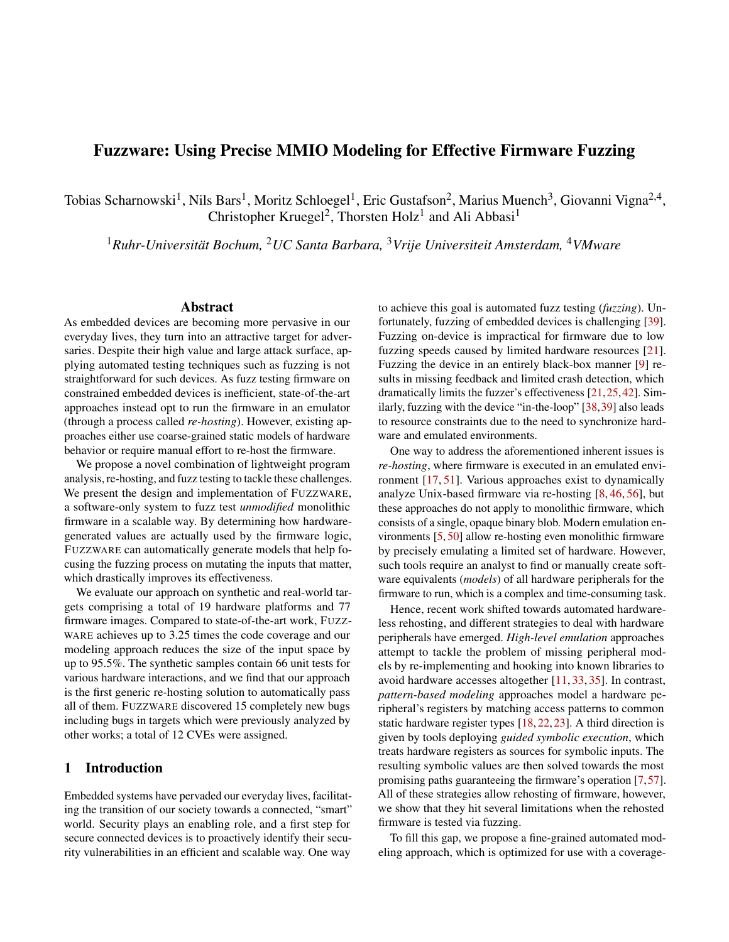<span id="page-6-0"></span>Table 1: MMIO Access Models. HW denotes the Hamming Weight.

| <b>Model Type</b> | Overhead | <b>Parameters</b> | # Fuzzing Bits     | Output         |
|-------------------|----------|-------------------|--------------------|----------------|
| Constant          | full     | constant          |                    | constant value |
| Passthrough       | full     |                   |                    | stored value   |
| <b>Bitextract</b> | partial  | bitmask           | HW(bitmask)        | filled bitmask |
| <b>Set</b>        | partial  | constants         | $log_2$  constants | selected value |
| <b>Identity</b>   | none     | ۰                 | full access size   | fuzzing bits   |

hardware-generated values need to adhere to, as well as possible symbolic expressions containing tracked variables which are still alive. These symbolic states are then used as input to assign and configure a model for the analyzed MMIO access.

Model Design Considerations. Based on the previous discussions, two aspects are central to our model design: First, models provide *reproducible* translations. Performing an emulation run for a given raw input multiple times has to result in identical firmware executions. We require identical behavior as we generate MMIO access snapshots for modeling in separate emulator instances, in parallel to ongoing fuzzing. To keep translations reproducible, we derive hardware-generated values exclusively from chunks of fuzzing input. Second, we design our models to *preserve firmware code paths*. While we aim to eliminate as much input overhead as possible, we conservatively apply models that do not make firmware code paths unavailable in the process. Thus, we only model accesses based on variable uses that we can fully observe. In case a live variable leaves our analysis scope, we base our modeling on the constraints that firmware logic has already placed on the modeled variable (e. g., a bit mask has been applied before data gets returned, see 3 in Figure [2\)](#page-3-0).

Error Handling and Execution Stalls. Naturally, by preserving all firmware code paths, we also allow the fuzzer to exercise error paths. This is intentional: Contrary to previous modeling approaches, we explicitly do not try to prioritize specific paths or remove entire paths that *appear* uninteresting (cf. Section [3.2\)](#page-3-2). Instead, we find that code which handles irregular conditions may contain bugs, and should likewise be included in the analysis. This inevitably leads to inputs that result in stalled firmware execution. However, we note that these cases are seamlessly dealt with by the fuzzer: Whenever execution is stalled, the fuzzer will recognize missing code coverage. Consequently, the corresponding inputs will be discarded as uninteresting, and the mutation engine will quickly yield inputs with more significant code coverage. We want to stress that this conscious decision to explore error handling does not only allow for discovery of bugs which may be missed otherwise, but also enables truly robust and automated fuzzing of firmware, as neither a human analyst nor heuristics are needed to identify *interesting* paths.

#### 4.4 FUZZWARE Model Definitions

We define a total of five generic MMIO access models that can be assigned from a DSE-produced set of symbolic states. Each of these models provides a blueprint to the emulator for how to handle a specific MMIO access and systematically remove input overhead, full or partial, either for typical control-flow based MMIO uses (i. e., taking different actions based on a value) or data-based MMIO uses (i. e., reading data and dismissing all or parts of it). Some of these generic models accept parameters by specification. We use the symbolic states to first assign a generic model and then instantiate it via parameters for the given MMIO access. The generic models contain a specification for the emulator on how to apply the model parameters to determine a hardware-generated value. For models handling *full input overhead*, model parameters alone are sufficient to handle the access, without consuming any fuzzing input. For models handling *partial input overhead*, the emulator requires fuzzing input to apply the model. In these cases, it uses the model's parameters to *translate* a fuzzing input chunk into a hardware-generated value.

We now detail our five generic models. For each one, Ta-ble [1](#page-6-0) shows which type of input overhead it handles (Overhead), which parameters it uses (Parameters), how many raw fuzzing bits an access consumes (# Fuzzing Bits), and how models use parameters to translate the raw fuzzing input into the hardware-generated value (Output).

1) Constant Model. This model describes MMIO accesses where a specific constant is used as part of a comparison, which must be satisfied to allow execution to proceed (see  $(1)$ ) in Figure [2\)](#page-3-0).

2) Passthrough Model. This model is assigned to accesses where the hardware-generated value is determined to not affect the firmware's state. We treat the MMIO access like a regular memory access. These include, for example, accesses to configuration registers (see  $(2)$  $(2)$  in Figure 2).

3) Bitextract Model. The bitextract model is used when only a portion of the bits read from MMIO are used by the firmware. For example, this is the case when four bytes are read from an MMIO register and a bitmask is applied to only retain a few bits while the others are discarded (see  $(3)$  in Figure [2\)](#page-3-0). Note that similar effects occur for bit shifts, truncations, and equivalent instruction composites.

*Examples:* A 4 byte-wide MMIO access is performed with a model-computed bit mask of 0x00ff0000. The emulator consumes a byte of fuzzing input, e. g., 0x4e. The emulator serves 0x004e0000 as the hardware-generated value for the MMIO access. For a bit mask of 0xfff0000f and a consumed raw input chunk 0xabf8, the emulator serves 0xabf00008.

4) Set Model. The set model handles the situation where a (part of the) hardware-generated value is checked against different values to determine control flow. The model is applied in case a discrete list of values can be precomputed such that each value represents exactly one of the possible control-flow options. A chunk of raw fuzzing input is interpreted as the fuzzer's choice from among the different options for each individual access. Possible instances include status and iden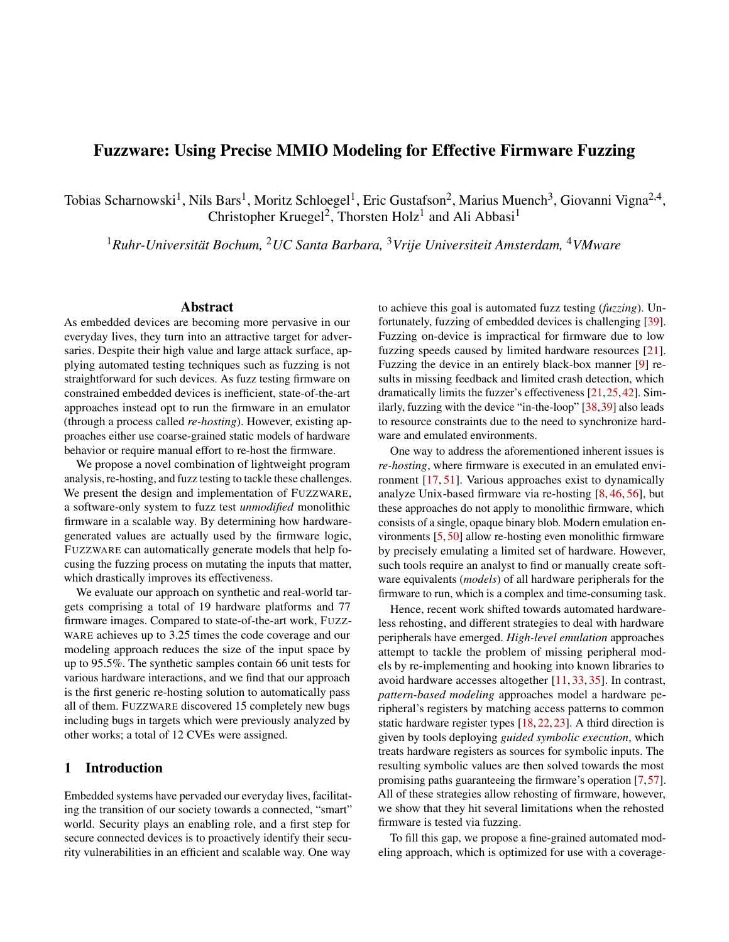tification registers, where the firmware performs different actions based on the hardware-generated value (see Figure [3\)](#page-3-1).

*Example:* A 2 byte-wide MMIO access is performed for a model-computed list of four precomputed values [1,5,7,128]. The emulator consumes 2 bits of fuzzing input, e. g., 0x1. The emulator serves 0x0005 as the hardware-generated value.

5) Identity Model. This model is assigned if DSE determines that all bits of a hardware-generated value are meaningful (i. e., used by firmware). It is also used as a fallback in case an unconstrained symbolic variable escapes the analysis scope, or if DSE does not complete within its resource limits. In these situations, we conservatively assume that every bit of the hardware-generated value may later be used by the firmware. Thus, we allow the fuzzer to try all values and therefore to discover all firmware paths. As we will show in Section [6.1,](#page-8-0) this fallback is rarely required in practice.

Model Computation By Example. For further explanation, we re-visit the busy check of the serial peripheral's status shown in  $\Omega$  in Figure [2.](#page-3-0) While stepping through the loop, our symbolic execution reaches the comparison and splits the execution into two states—one which exits the loop and another which takes an additional loop iteration. By generating multiple of these states and inspecting path constraints, we can show that for each state that exits the loop, the hardwaregenerated value has to be equal to HAS\_DATA during the last access, while prior accesses had to be different from HAS\_DATA. Consequently, firmware execution does not continue without the hardware-generated value being equal to HAS\_DATA. We can use this information to assign the *Constant Model*, parameterized with the value of HAS\_DATA. Similarly, for the GPIO update in  $(2)$ , DSE will show that the queried hardwaregenerated value is only written back to an MMIO address, but not involved in a constraint on the execution state otherwise. Hence, we assign the *Passthrough Model*. Finally, for 3, DSE shows that while no constraints exist on the path itself, a masked part of the hardware-generated value is returned from the function. As the DSE terminates on the function boundary (to avoid path explosion), we assign a *Bitextract Model*.

#### 4.5 Interrupt, Timer and DMA Handling.

As described in Section [2.1,](#page-1-1) interrupts are an asynchronous source of input into firmware logic. As an ISA emulator does not contain any notion of peripherals to raise interrupts, this behavior has to be triggered by FUZZWARE. Per default, FUZZWARE raises each of the currently-enabled interrupts in a rolling fashion after a certain number of basic blocks is executed. The set of enabled interrupts is tracked by examining the state of the CPU's interrupt controller during execution.

Among other peripheral behavior, FUZZWARE mimics interrupt-based timer peripherals this way. To provide additional flexibility in exploring how firmware logic reacts to specifically-timed events, FUZZWARE allows precise control over both when and which interrupts should be raised. Similar to how fuzzing input is used by access models to determine hardware-generated values, fuzzing input can be used to determine the timing of the next interrupt, as well as its number. This allows the fuzzer to discover the influence of very specific interrupt timings on firmware behavior.

Note that FUZZWARE can support some forms of DMA by defining transfer buffers as MMIO regions. However, FUZZ-WARE currently does not explicitly model DMA in an automated way given that this is out of scope for this work.

#### <span id="page-7-0"></span>5 Implementation

We implement a prototype of FUZZWARE targeting the ARM Cortex-M standard. We chose this platform due to its wide adoption in practice and projected future popularity [4]. The implementation is designed such that support for other targeted ISAs is possible in the future.

#### 5.1 FUZZWARE's Emulator

Our implementation is based on Unicorn Engine [49] as the base ISA emulator and we use legacy AFL [54] as the fuzzing engine for a fair comparison with other modeling approaches. We also integrated AFL++ [19] for its extended feature set and baseline performance. We handle MMIO accesses by registering memory access hooks for MMIO regions with the native Unicorn API. We handle hooked read accesses by writing the output of the assigned model (as described in Section [4.3\)](#page-5-0) to the accessed MMIO address before the read operation is performed. We associate a memory access with its corresponding model by its *MMIO access context*, i. e., the pair of program counter and MMIO address. If no associated model exists, we default to handling the access according to the *Identity Model*. We use three generic files as initial fuzzing inputs (each 512 bytes in size): All zero-bits, all one-bits, and concatenated 32-bit values with a shifting 1-bit each.

Empirically, we have found that consuming raw fuzzing input provided by an unmodified byte-oriented fuzzer on a bit-granular level conflicts with the heuristics that drive the fuzzer's input mutation process. Consequently, to handle MMIO accesses, we consume raw inputs on a byte-granular level. For example, while each access to a set model with four elements requires a minimum of two bits of fuzzing input, a byte is consumed in our current implementation.

Timers and Interrupts. Timers and interrupts are a source of nondeterminism in firmware execution. As discussed in Section [4.3,](#page-5-0) we require emulation runs to be fully reproducible. To achieve precisely reproducible timing behavior, we measure elapsed time by the number of emulated basic blocks. We also extended the Unicorn Engine with an implementation of the interrupt controller (NVIC) and the system tick timer (SysTick), which are defined in the Cortex-M standard.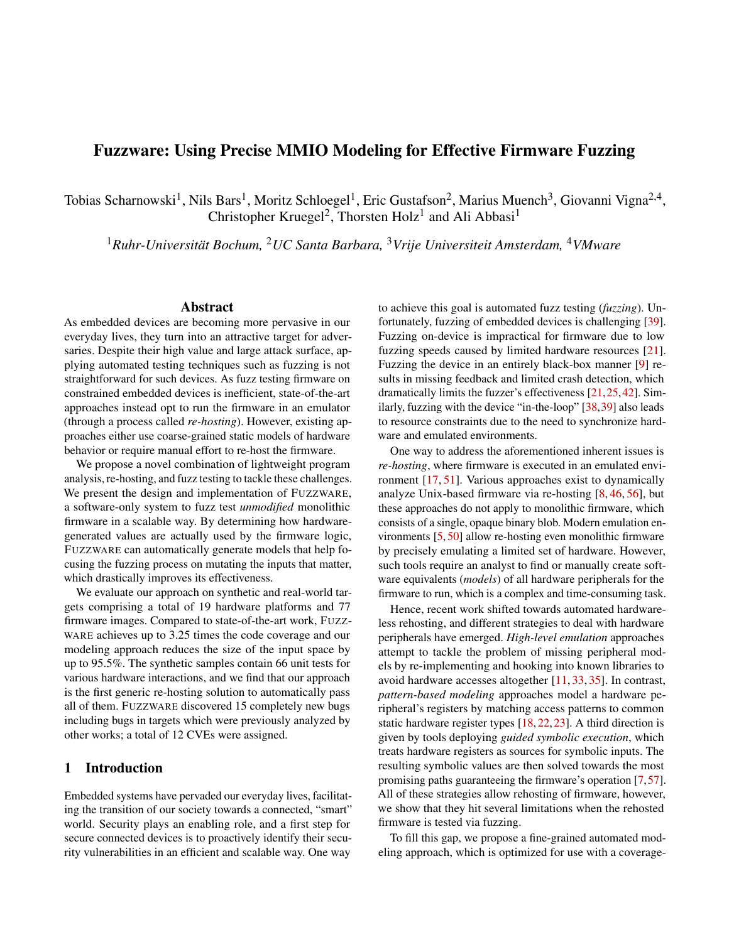#### 5.2 MMIO Access Modeling

For DSE, we chose angr [44, 45] as an engine, as it—just like Unicorn Engine—readily supports a wide range of ISAs and lends itself well to including more architectures.

After loading a firmware state snapshot into angr and creating a symbolic variable for the hardware-generated value representing the tracked MMIO access, we track the variable's liveness via reference counting. We increment the reference count whenever DSE writes a symbolic expression containing the tracked variable to a register or to memory, and we decrement the count whenever such an expression gets overwritten. To track whether register value assignments from a concrete restored state snapshot influence modeling results, we taint registers after loading the snapshot.

Upon hitting an exit condition as described in Section [4.3,](#page-5-0) we check the live symbolic expressions and constraints on the resulting states for adherence to each model definition as detailed in the following.

1) Constant Model: All tracked variables are no longer referenced, but constrain the resulting states. A single common value *v* for the latest tracked variable exists between all resulting states with the following property: For any previous-tolast variable, assigning *v* does not satisfy the state constraints. The constant value *v* parameterizes the model.

2) Passthrough Model: All tracked variables are no longer referenced and do not constrain any of the resulting states.

3) Bitextract Model: All state constraints and symbolic expressions remain unchanged after a bit mask has been applied to each tracked symbolic variable in each state. The bit mask with the lowest Hamming weight parameterizes the model.

4) Set Model: All variables are no longer referenced, but constrain the resulting states. For each state and referencecounted variable, a value can be found that does not satisfy the path constraints of any of the other states. In other words, the sets of constraints on each path form partitions of the input space between states. The minimum representative of each partition is chosen as a value in the configured set, which parameterizes the model.

5) Identity Model: None of the above models apply, or no model was found within DSE limits.

If multiple models apply, the one with the highest reduction of input overhead is chosen. As the limit for the DSE computation, we set the default run time to 5 minutes per model and a maximum of 1,000 symbolically executed basic blocks, which we have found to work well in practice.

### 6 Evaluation

We evaluate FUZZWARE by considering the following research questions:

RQ 1 How computationally expensive is the implemented symbolic execution-based modeling?

- RQ 2 How many optimized modeling opportunities does FUZZWARE miss due to its conservative scoping?
- RQ 3 Are FUZZWARE's MMIO access models applicable to a wide variety of firmware and hardware platforms?
- RQ 4 How does FUZZWARE perform compared to previous methods in fuzzing monolithic firmware?
- RQ 5 Can FUZZWARE be used to uncover previously unknown bugs in real-world firmware?

To answer these questions, we performed different experiments, targeting 77 different firmware images for 19 different hardware platforms, summarized in Table [4](#page-16-0) in the appendix. First, we quantified the amount of input overhead that access modeling eliminates and studied how this translates into code coverage. Second, we applied FUZZWARE to a set of real-world firmware samples used in concurrent work. Third, we used FUZZWARE to test network stacks of widely-used embedded firmware frameworks with the goal of uncovering network packet processing bugs. Finally, we analyzed the root causes of the crashing test cases produced by FUZZWARE.

#### <span id="page-8-0"></span>6.1 Access Modeling for Fuzzing

In a first step, we focus on the costs and the general applicability of FUZZWARE's access modeling on the fuzzing-based firmware exploration process  $(RQ 1, RQ 2,$  and  $RQ 3)$ .

For the initial part of our evaluation, we use two sets of firmware targets: First, we created a unified application-level program from which we generate firmware images for ten hardware platforms supported by ARM's Mbed OS [36]. We use a unified application as from a modeling point of view (and probably counter-intuitively), compiling the same application-level program for 10 different boards will look vastly different, while compiling 10 different application-level programs for the same board will effectively look the same to MMIO modeling. This is why we reach diversity by compiling the same program for 10 boards. To expand on the application-level diversity, we also test FUZZWARE on the  $66<sup>1</sup>$  $66<sup>1</sup>$  $66<sup>1</sup>$ unit tests originally published by the authors of P2IM [18].

Our test application repeatedly triggers hardware platformspecific driver behavior by calling different high-level Mbed OS APIs, which then resolve to its platform-specific driver functions and thus trigger MMIO accesses. The test application then prompts the user for a password over the serial port. If the correct password was entered, the firmware exposes a vulnerable function accepting input from the serial port. We use this application to repeatedly trigger the underlying hardware-specific driver implementations for each platform.

To provide the baseline data for our evaluation, we fuzz each of the ten Mbed OS targets for 24 hours, once with

<span id="page-8-1"></span><sup>&</sup>lt;sup>1</sup>Originally, this data set consisted of 70 firmware unit tests [18], but a recent errata removed four of them for validity reasons.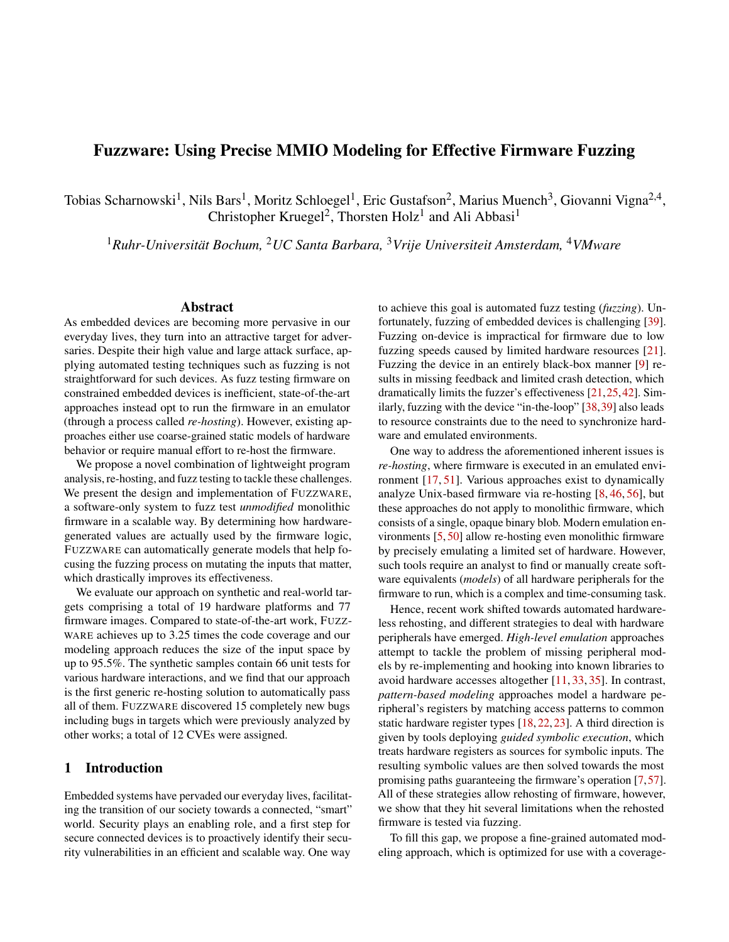MMIO access modeling enabled and one time with MMIO access modeling disabled. We repeated this experiment ten times to account for the fuzzer's inherent nondeterminism as recommended by Klees et al. [29]. We used a 40-core Intel Xeon Gold 6230 CPU @ 2.10 GHz machine running Ubuntu 18.04.4 LTS and assigned each FUZZWARE instance two CPU cores. We visualize the time spent to discover the individual characters of the password in Figure  $6$  in the appendix. Based on these experiments, we collected additional metrics on several aspects of FUZZWARE's operation.

Costs of Model Generation. To evaluate the (one time) computation costs incurred by our modeling (RQ 1), we collected the start and completion timings of all model generation jobs. On average, 62 models have been generated during a 24-hour experiment for a single firmware image, which took an average of 6.34 minutes (6 seconds per model) to compute.

Input Overhead Elimination. After analyzing the costs incurred by modeling, we quantify its overall elimination of input overhead. Table [2](#page-9-0) shows how much input overhead (M) different models eliminated and how much fuzzing input (F) they consumed. As described in Section [5,](#page-7-0) the current implementation of access models operates with byte granularity. Every second row shows the input overhead reduction for an assumed bit-granular model implementation. The resulting data shows that in total, the current implementation eliminates a minimum of 49.3% and a maximum 83.4% of the input space (in ARCH\_PRO and NUCLEO\_L152RE, respectively). When considering a bit-granular implementation, these values increase to 49.7% and 95.5%, respectively. Over all runs, the input space was reduced by nearly 80% and could have been reduced by nearly 90% with bit-granularity. We can also see that depending on the target, input overhead differs significantly. It is worth mentioning that depending on the firmware sample, some model types simply do not apply. If the bitwidths of MMIO accesses exactly match the amounts of data actually used within firmware code, Bitextract optimizations are not required (see ARCH\_PRO).

To determine the opportunities of input overhead reduction that FUZZWARE might have missed  $(RQ 2)$ , we re-visited the cases where an Identity model was assigned, meaning that no input overhead was eliminated for the given MMIO accesses. In total, of the 623 unique models that were generated during the experiment, 34 have been assigned the Identity Model. We manually verified that in 19 instances, full values were used within firmware logic, leaving no room for overhead reduction. The remaining 15 cases (less than 2.5% of the 623 models) involved processing where DSE resource limits applied. In these cases, modeling conservatively assigned an Identity model and fell back to allowing the fuzzer to try all values. This ensures that we are not assigning a wrong model which could hide parts of firmware code from the analysis. Only rarely encountering this fallback is expected: firmware typically processes a hardware-generated value immediately

<span id="page-9-0"></span>Table 2: Percentage of fuzzing input ( F ) used and overhead reduction (M) achieved, per model type. We analyze how much fuzzing input each model consumes (if the model consumes any) and how much input overhead each model eliminates (the Identity model does not eliminate input overhead). *(CN: Constant, PT: Passthrough, ID: Identity)*

| <b>Target</b>            | <b>CN</b> | PT  | <b>Set</b> |     | <b>Bitextract</b> |              | ID   | <b>Total</b> |      |
|--------------------------|-----------|-----|------------|-----|-------------------|--------------|------|--------------|------|
|                          | M         | M   | M          | F   | M                 | F            | F    | M            | F    |
| bytes<br><b>ARCH PRO</b> | 45.8      | 3.3 | 0.1        | 0.5 | $\mathbf{0}$      | $\Omega$     | 50.3 | 49.3         | 50.7 |
| bits                     |           |     | 0.6        | 0.1 |                   |              |      | 49.7         | 50.3 |
| EFM32GG_STK3700          | 45.2      | 0.4 | 0.3        | 0.1 | 33.8              | 11.3         | 8.8  | 79.8         | 20.2 |
|                          |           |     | 0.4        | 0.0 | 33.9              | 11.3         |      | 79.9         | 20.1 |
| EFM32LG STK3600          | 46.3      | 0.4 | 0.3        | 0.1 | 34.7              | 11.6         | 6.6  | 81.7         | 18.3 |
|                          |           |     | 0.4        | 0.0 | 34.7              | 11.5         |      | 81.9         | 18.1 |
| LPC1549                  | 48.6      | 1.6 | 0.2        | 0.1 | $\mathbf{0}$      | $\mathbf{0}$ | 49.6 | 50.4         | 49.6 |
|                          |           |     | 0.3        | 0.0 |                   |              |      | 50.4         | 49.6 |
| LPC1768                  | 46.6      | 3.3 | 0.1        | 0.5 | $\mathbf{0}$      | $\mathbf{0}$ | 49.4 | 50.1         | 49.9 |
|                          |           |     | 0.6        | 0.1 |                   |              |      | 50.5         | 49.5 |
| MOTE L152RC              | 34.4      | 0.5 | 20.0       | 6.7 | 28.4              | 9.5          | 0.5  | 83.3         | 16.7 |
|                          |           |     | 25.9       | 0.8 | 34.3              | 3.6          |      | 95.1         | 4.9  |
| NUCLEO F103RB            | 32.3      | 0.7 | 20.8       | 6.9 | 28.6              | 9.5          | 1.3  | 82.2         | 17.8 |
|                          |           |     | 26.8       | 0.9 | 34.9              | 3.2          |      | 94.7         | 5.3  |
| NUCLEO F207ZG            | 25.7      | 1.0 | 22.2       | 7.4 | 29.2              | 13.5         | 1.1  | 78.1         | 21.9 |
|                          |           |     | 28.7       | 0.9 | 38.5              | 4.2          |      | 93.8         | 6.2  |
| NUCLEO L152RE            | 34.4      | 0.6 | 20.4       | 6.8 | 28.0              | 9.3          | 0.5  | 83.4         | 16.6 |
|                          |           |     | 26.4       | 0.9 | 34.2              | 3.2          |      | 95.5         | 4.5  |
| <b>UBLOX C027</b>        | 43.6      | 8.2 | 0.1        | 0.4 | $\Omega$          | $\mathbf{0}$ | 47.7 | 51.9         | 48.1 |
|                          |           |     | 0.5        | 0.0 |                   |              |      | 52.3         | 47.7 |
| bytes                    |           | 0.8 | 15.6       | 5.2 | 27.1              | 9.5          |      | 79.4         | 20.6 |
| <b>Total</b><br>bits     | 35.9      |     | 20.2       | 0.7 | 32.0              | 4.5          | 5.9  | 89.0         | 11.0 |

after reading it, as MMIO register states are short-lived, and may quickly change values.

MMIO Access Model Generality. The authors of P2IM published a set of 46 firmware images comprising 66 unit test cases. These are designed to test the ability of an emulation system to deal with diverse types of common hardware peripherals on different combinations of firmware and hardware platforms (eight hardware peripherals, three MCUs, and three OS libraries), as well as interrupt-based and synchronous input passing mechanisms. For these 66 test cases, previous work achieves passing rates of 83% and 95%<sup>[2](#page-9-1)</sup>, respectively [18,57]. Regarding **RQ 3**, we reproduced these test cases by running FUZZWARE for 10 minutes. FUZZWARE passed *all* of the 66 test cases. Consequently, FUZZWARE is the first automated and generic emulation system to pass 100% of the P2IM unit test cases, demonstrating the robustness of its models, its general applicability, and the advantage of approaches not relying on path elimination.

#### 6.2 Comparison with the State of the Art

To assess FUZZWARE's efficacy, we compare it with *µ*EMU [57] and P2IM [18], two state-of-the-art tools for hardware-less re-hosting. Like FUZZWARE, they support generic monolithic firmware fuzzing without significant manual intervention. As the evaluation data set, we use the 21 real-world firmware samples presented in *µ*EMU, which includes 10 samples previously tested by P2IM.

For each sample, we performed five 24-hour fuzzing iterations for each target on virtualized dual core machines running on Intel Xeon Silver 4114 CPUs at 2.20 GHz on Ubuntu

<span id="page-9-1"></span><sup>&</sup>lt;sup>2</sup>Based on the remaining 66 of 70 unit tests, adjusted from 79% and 93%.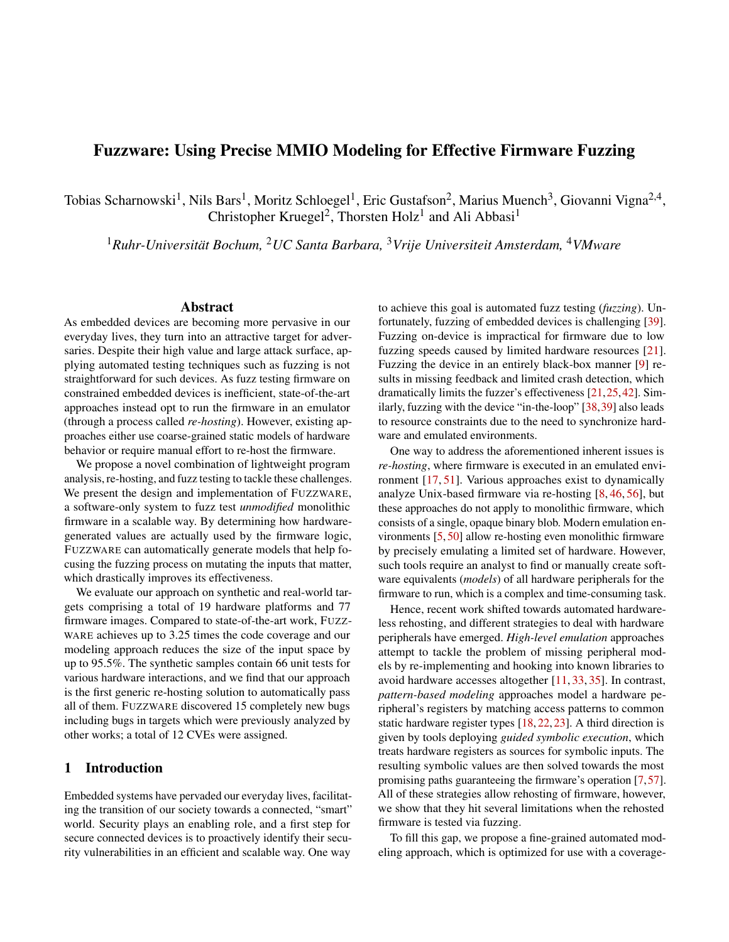Figure 5: Uniquely discovered basic blocks for P2IM real-world rmware samples over ve 24h runs. Displayed are the median number of discovered basic blocks, alongside with minima and maxima over the individual runs.

18.04.4 LTS. For all experiments, we re-used exact input and LiteOS\_IOT, wherEUZZWARE showed variable perforseeds where provided, and used the con gurations publishedmance, all results are statistically signi cant according to the alongside the tools where applicable. Forzzware, we always use its default con guration except for ve rmware samples in which we reproduce partµd EMU's con gurations. In four of these cases, we disable interrupts (3D\_printer,aggressive path elimination that is at the corqubinu's RF\_door\_lock, Thermostat, xml\_parser), while in the -fth case, we add support for DMA operations by manually de ning pass-through models for two DMA buffer address MMIO registers (utasker\_Mobus). In contrasflozzware's minimal con-guration overhead, the most recent target con-gurations of  $\mu$ EMU available at the time of writing(1) specify custom de nitions of input peripherals, (2) apply custom con--gurations to tweak exploration parameters to the target, and assume both approaches to path elimination are also respon-(3) specify custom path validity information (alive points and/or kill points). This customization requires a human ana-early. FUZZWARE does not eliminate paths, resulting in a

is unable to analyze the 11 samples introduced EMU  $[57]$ . systems on the 10 targets supported by P2IM, visualized inthree targets. Manual root cause analysis showed batin the appendix. The results show that  $zz$  ware consistently discovers (signi cantly) more basic blocks compared to the state of the art. In one case (CNE) ZZWARE doubles P2IM's coverage and triples EMU's coverage. For the targets in Figure 5,FUZZWARE yields on average ~44% more code coverage than P2IM and ~61% more coverage thanu (~57% when averaged over all targets). In 19 out of 21 times, identify bugs in real-world rmware and also nd new bugs the minimum coverage achieved by UZZWARE exceeds the maximumcoverage of the prior approaches. In other words, even the worst run of FUZZWARE performs better than the best run ofµEMU and P2IM. With the exception of PLC

by theµEMU authors, without further human assistance, P2IM

lyst with domain knowledge of the respective target. As noted higher code coverage. We discuss path elimination and code Mann–Whitney U test, as recommended by Klees et al. [29]. One interesting aspect in Figure 5 is that P2IM often outperformsµEMU. We believe the reason for this to be the invalidity-guided approach (cf. Section 3): The framework deploys heuristics to decide on viable paths and provides hardware values accordingly. When no clear distinction can be made, this choice is left to randomness, which either makes large parts of the rmware available for analysis or removes them entirely from the ongoing run. This may also explain why individual runs perform better than P2IM. Further, we sible for the fact that basic block discovery graphs atline coverage in Section 7.

Hence, we compare the fuzzing performance of all three tion, FUZZWARE uncovered previously unreported bugs in Figure 5, and provide the data for all experiments, including WARE identi ed one concurrency issue (Soldering Iron), a the ones for the 11 remaining rmware samples in Table 5 missing pointer veri cation (CNC), and an unchecked AT Alongside the signi cant increase in coverage and automacommand parsing crash (GPSTracker). For all three targets, the discovery of additional bugs found  $EVALUATE$  coincides with a signi cant increase in code coverage.

> RegardingRQ 4, the results indicate that our cess modelingallows a fuzzer to clearly outperform the current state of the art. Toward  $\bigcirc$  5, we observe that UZZWARE is able to that previous work does not locate.

## 6.3 Fuzzing New Targets

 $\frac{3}{3}$ Our evaluation bases on git commits 5b12949325 and 67e50000bb of Fuzzing Targets. To expand orRQ 3 and RQ 5, we used the uEmu-real\_world\_-rmware and uEmu repositories, respectively. FUZZWARE to test different functionalities of the core net-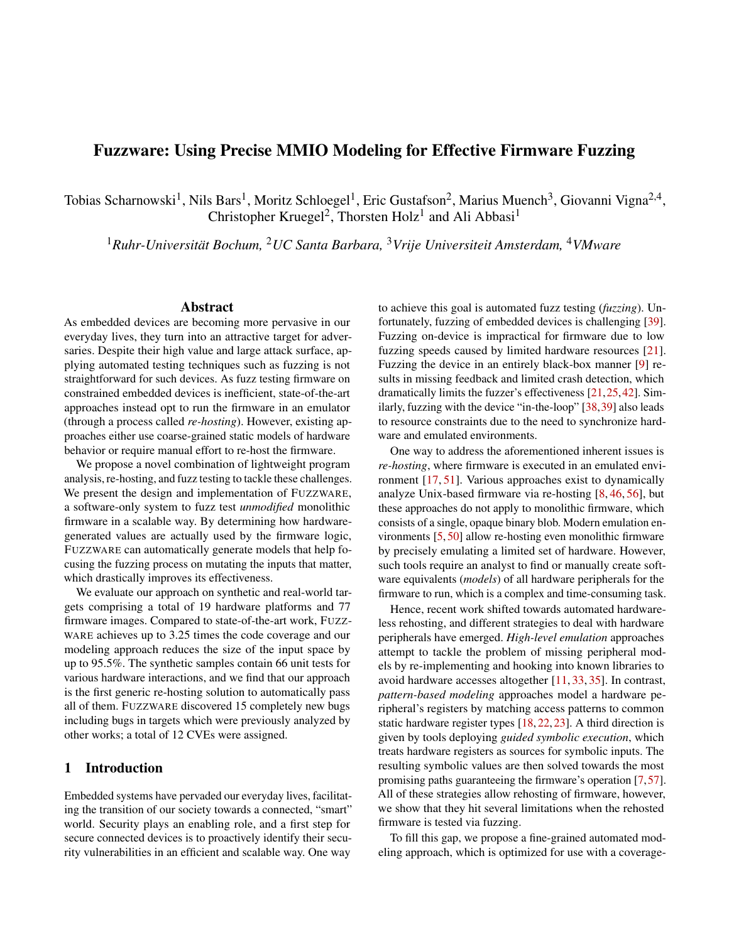work stacks of two popular embedded rmware frameworks: Table 3: Root cause categories of unique crashes generated by Fre.

Zephyr [55], and Contiki-NG [12]. Both projects are wellmaintained, with hundreds of contributors, and backing companies such as Intel and Google.

We chose the radio layer implementations of these two systems as a fuzzing target. Connected devices heavily rely on network stacks, and the corresponding low-level parsing code exposes a universal attack surface. As successful attacks can potentially propagate from one device to another, aws in these types of interfaces put whole eets of devices at risk.

We based all of the rmware images on code samples the rationale for re-using identical application-level code in Section 6.1, logic within higher layers (such as the application layer) does not in uence the inner workings of lower layers (e. g., low-level radio packet processing).

Bug Case StudiesIn total, FUZZWARE discovered 12 dis-

tinct bugs in these targets, for which 12 CVEs have been  $6.4$ assigned after a coordinated disclosure. In the following, we provide case studies for some of these bugs. A full overview Finally, we investigated the crashes produced byzware. of these bugs can be found in Table  $6$  in the appendix.

CVE-2020-12141.In the tested version of Contiki-NG, the Simple Network Management Protocol (SNMP) parsing logic of incoming SNMP messages did not correctly validate the user-supplied size of the variably-sized mmunity eld. This lead the logic to access the user-supplied buffer out of bounds, resulting in a rmware crash (DoS).

CVE-2021-3321.As a translation layer from radio frames to IPv6 packets, the IPv6 over Low-Power Wireless Per- bugs exist in the rmware, but will not occur on real hardsonal Area Networks (6LoWPAN) standard de nes a cus-Zephyr checked the required size of the decompressed heade ave a maximum value of 127, while a full byte of hardwaredestination buffer to hold the decompressed contents. The raiable (maximum value: 255). This leads to a buffer overlogic did not check, however, whether theurceframe was actually large enough to hold thempressed header payload. As a result, it consumed more bytes from the frame-holding checks. It assumed the variable to be initialized when an interbuffer than available, leading to a size eld integer under ow, followed by a corruption of memory.

CVE-2021-3330.To transport IPv6 packets from small radio frames, 6LoWPAN de nes a fragmentation layer. To differentiate between the start and subsequent entries of a list ofhe USB receive channel number register eld CHNUM may fragments, frames are assigned the fragment types FRAG have a maximum value of 15, but only less USB channels are and FRAGN, respectively. When encountering a FRAGN frag- actually in use, leading to another out-of-bounds access. ment, the reassembly logic would insert the fragment to the In essence, the results show that we abstract away hardware start of the fragment list, and correctly check that its contents from rmware in the fuzzing process. This implies that if a are marked for insertion at the beginning of the reassembledbug exists in the software regardless of the hardware envibuffer. Before reassembling, however, the logic did not check ronment,FUZZWARE might identify it. However, it does not whether a FRAG1 fragment is present. Assuming a FRAG1 guarantee that the bug can be triggered in a speci c real hardfragment to be present, the fragment sorting logic would predi-ware deployment. On the contrary, it might just demonstrate cate its algorithm on a pre-sorted rst element. Using a crafted that the software developers are trusting a speci c hardware. set of input fragments which exactly match the required over-Becoming aware of these types of issues may have some all size, but does not contain a FRAG1 fragment, the sorting upside: the same rmware running in a different hardware enresult in a NULL pointer dereference. The third false positive crash was caused in the  $M$ U utasker\_USB sample, where

| Firmware Set             | #Unique<br>Crashes | #Security<br><b>Issues</b> | #Unchecked<br>Initialization | #False<br>Positives |
|--------------------------|--------------------|----------------------------|------------------------------|---------------------|
| <b>Synthetic Samples</b> | 10                 | 10                         |                              |                     |
| P <sub>2</sub> IM        | 16                 | 9                          |                              |                     |
| uEMU                     | 19                 | 9                          | 9                            |                     |
| Zephyr                   | 12                 | 10                         |                              |                     |
| Contiki-NG               |                    |                            |                              |                     |
| Total                    |                    |                            | 16                           |                     |

demonstrating uses of different network stacks. Similar to ence within the list, which translates into an eventual integer logic can be tricked into creating an unintended cyclic referunder ow, followed by a buffer over ow.

> This experiment shows that our modeling approach allows a fuzzer to effectively test and nd bugs in well-maintained, widely-used real-world rmware codeR(Q 5).

### **False Positive Crash Analysis**

To this end, we deduplicated the crashing test cases generated across the previous experiments and performed a manual root cause analysis. Table 3 shows the results of the experiment.

Our analysis showed that 42 out of the 61 unique crashes corresponded to security issues, and 16 crashes occurred as -rmware logic does not robustly handle initialization, e. g., by not checking the return value of initialization APIs. The

tom header compression mechanism. Before decompression<sub>case,</sub> the length of a radio packet was implicitly assumed to payload, and would correctly allocate an appropriately-sized <sub>generated</sub> MMIO value was used without checks in a size three remaining test cases related to omitted rmware checks. We identify these three crashes as false positives, since the ware. Two of these crashes occurred in Zephyr: In the rst

> ow for size values greater than 127. In the other case, an interrupt handler used a pointer variable without initialization rupt was raised. If an interrupt was raised by the fuzzer before this initialization was performed, interrupt handling would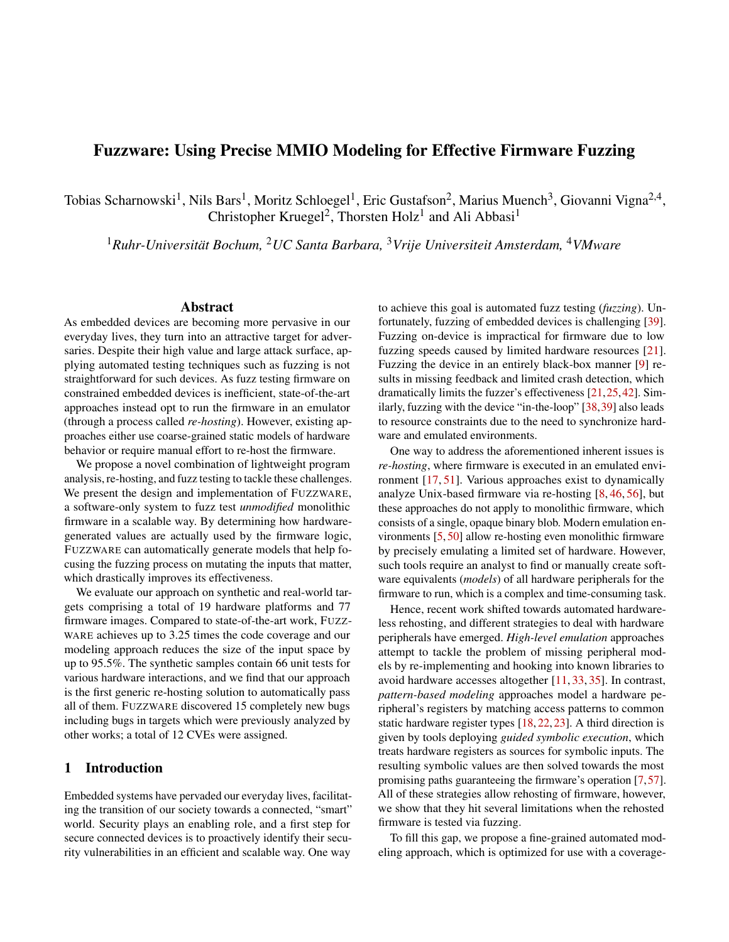vironment might suffer from a security vulnerability (since the Implicit Peripheral Semantics. During our evaluation, we hardware cannot be trusted). This way zzware pinpoints different hardware environment.

### 7 Discussion

applicability of FUZZWARE outside our prototype implementation, and possible future research directions.

Direct Memory Access (DMA).As discussed in Section 4.5, while FUZZWARE allows handling DMA via additional con guration, automatically modeling DMA is not the focus of this work. However, we see one central contribution of this work towards automated DMA handling: As DMA-handling rmware code is often part of more complex code (where, in practice, heavy MMIO use is inevitable), achieving a high baseline code coverage (as we show is the caseFwith  $r$ -WARE in Section  $6$ ) is a prerequisite to even triggering any use of DMA. The authors of DICE [37], while recently describing a generic DMA handling approach, encountered this issue: Their evaluation shows that previous rmware fuzzing systems are unable to reach DMA logic for more than a third (36%) of detected DMA, which can likely be attributed to missing rmware code coverage.

Using Access Models outside FEZWARE. The tight integration ofFUZZWARE's MMIO access models in the fuzzing process raises the question whether those models can be used specially for emulating Linux-based rmware [8,14,28,56]. cation, and program counter value – information which is read-ble to monolithic rmware as analyzed in our work. ily available in other analysis frameworks. To demonstrate that this allows interoperability, we integrat $\epsilon$ d $zz$ ware generated models into avata<mark>88]</mark> as so-calleoyperipherals This enables dynamic analysis capabilities beyond fuzzing, Unfortunately, identifying and modeling those abstractions such as taint analysis using the PANDA framework [16].

Merits of Path Elimination. Previous approaches (e.g., [7, 18, 57]) eliminate code paths to steer rmware execution. As we describe in Section 3.2, eliminating paths bears the 48, 53]) avoid the need for abstractions by forwarding hardrisk of excluding relevant functionality from the analysis, either by removing error handling or by forcing execution into complex error handling routines, away from ordinary functionality. As a heuristics-based classi cation of "correct" code paths is error prone, and a misclassi cation requires require one instance of the target hardware per fuzzing thread, manual intervention to remediate, we aimed for robustness as the hardware state and fuzzer must be kept consistent. in a fully automated setting by avoiding such classi cation attempts. To facilitate automation uzzware allows hitting stuck cases (such as hitting tight in nite error loops), and hardware-in-the-loop recording phase. This hardware depenrelies on the fuzzing engine to avoid them based on timeoutsdency was later resolved by P2IM [18], and then addressed and coverage feedback. Future work could improve upon this by µEMU [57], as extensively discussed in Sections 3 and 6. in a middle ground approach by identifying and eliminating stuck cases that can be safely removed without reducing theexecution in the rehosting process to infer correct values amount of reachable rmware logic.

possible security issues, even before the code is deployed in abehavior of its surrounding hardware account for some of the hardware. This may include assumed size limits, as well as<br>In this section, we further discuss our design decisions, the the expected exder in which estain avante are assumed to found that implicit assumptions made by rmware about the crashing test cases. The underlying notion could open up potential future research: Intuitively, we assume that the way in which rmware code is built and operates exposes information about the implicit assumptions it makes about its surrounding the expected order in which certain events are assumed to occur. Further analyses could use this type of information to derive increasingly complex models of peripheral behavior.

## 8 Related Work

Coverage-guided fuzzers, such &EL [54] and more advanced approaches [3,6,19,41,47,52], have found numerous critical bugs in major applications and OSes. One important line of research focuses on increasing the quality of fuzzing inputs, for instance via taint tracking [10,41], symbolic execution [20,47,52], or by additional program state analysis [2,3]. While we can leverage the described techniques to improve our work, the fuzzers implementing them target desktop applications and are not directly applicable to embedded systems.

independently. Luckily, once these models are generated, the unfortunately, these approaches heavily rely on the abstraconly information needed to serve a request are access size, lotions provided by the Linux kernel and, thus, are not applica-Multiple studies apply black-box fuzzing to embedded devices [9,31,40], but generally suffer from a lack of coverage information and the inability to reset the device to a known state. This challenge is commonly overcome by re-hosting embedded systems' rmware [17,51]. Recent work uses QEMU [5],

> Similar to using abstractions provided by the Linux kernel, one rehosting approach builds on top of the hardware abstraction layers present in many rmware images [11, 33, 35]. still requires target-speci c knowledge and manual effort, even with the automation presented in HAL UNATOR [11].

> Hardware-in-the-loop approaches (e. g., [13,26,27,30,38, ware accesses to a physical device during emulation. While this allows for dynamic analysis of rmware, these approaches have limited applicability to fuzz testing. On top of forwarding being a typical bottle-neck for most of these systems, they

The recent trend of pattern-based MMIO modeling was introduced byPRETENDER [22], which still required a Various further approaches integrating dynamic symbolic for hardware accesses have been proposed [7, 15, 24, 34].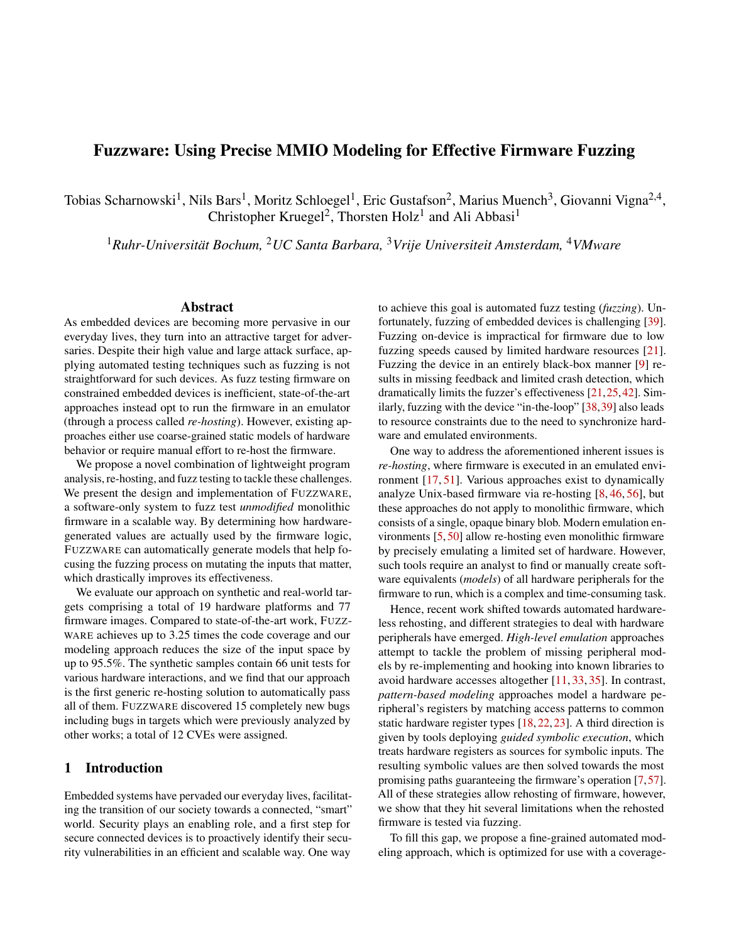LAELAPS [7], a recent and representative approach targeting [4] Aspencore. Embedded markets study: Integrating IoT monolithic rmware, allows to steer the execution to interesting locations by involving a human analyst. Unlike  $zz$ -WARE, this human-in-the-loop approach is not designed for automated fuzz testing, as fuzzing a speci c rmware image with LAELAPS requires signi cant target-speci c manual effort, and its emulation does not scale well due to frequent invocations of the expensive symbolic execution engine.

## 9 Conclusion

In this work, we presented a novel approach for modeling MMIO interactions to effectively fuzz test a monolithic rmware binary. Ouraccess modelare based on deeper insights into rmware logic and, consequently, allow one to eliminate types of input overhead that have previously been inaccessible to existing MMIO modeling approaches. Applying these models results in a drastically improved fuzzing effectiveness over the current state of the art.

## 10 Acknowledgements

This work was funded by the Deutsche Forschungsgemeinschaft (DFG, German Research Foundation) under Germany's Excellence Strategy - EXC 2092 CASA - 390781972, and by NWO under 628.001.030 "Tropics" and NWA-ORC Inter-Sect. In addition, this material is based upon work supported by DARPA under agreement number HR001118C0060, and by ONR under agreements N00014-17-1-2011 and N00014- 17-1-2897. This material is based on research sponsored by  $_{10}$ The U.S. Government is authorized to reproduce and distribute reprints for Governmental purposes notwithstanding any copyright notation thereon. The views and conclusions contained herein are those of the authors and should not be<sub>111</sub> Abraham interpreted as necessarily representing the of cial policies or endorsements, either expressed or implied, of DARPA or the U.S. Government.

## References

- [1] ARM. DUI 0552A: Cortex-M3 devices generic user guide, 2019.
- [2] Cornelius Aschermann, Sergej Schumilo, Ali Abbasi, and Thorsten Holz. Ijon: Exploring deep state spaces via fuzzing. InIEEE Symposium on Security and Privacy 2020.
- [3] Cornelius Aschermann, Sergej Schumilo, Tim Blazytko, Robert Gawlik, and Thorsten Holz. Redqueen: Fuzzing with input-to-state correspondence. Symposium on Network and Distributed System Security (NDSO) 9.
- and advanced technology designs, application development & processing environments. EETimes Embedded, 2019.
- [5] Fabrice Bellard. QEMU, a fast and portable dynamic translator. InUSENIX Annual Technical Conference , 2005.
- [6] Marcel Böhme, Van-Thuan Pham, and Abhik Roychoudhury. Coverage-based greybox fuzzing as Markov chain. In ACM Conference on Computer and Communications Security (CCS)2016.
- [7] Chen Cao, Le Guan, Jiang Ming, and Peng Liu. Deviceagnostic rmware execution is possible: A concolic execution approach for peripheral emulation. Annual Computer Security Applications Conference (ACSAC) , 2020.
- [8] Daming D Chen, Maverick Woo, David Brumley, and Manuel Egele. Towards automated dynamic analysis for Linux-based embedded rmware. Bymposium on Network and Distributed System Security (NDS29)16.
- [9] Jiongyi Chen, Wenrui Diao, Qingchuan Zhao, Chaoshun Zuo, Zhiqiang Lin, XiaoFeng Wang, Wing Cheong Lau, Menghan Sun, Ronghai Yang, and Kehuan Zhang. IoT-Fuzzer: Discovering memory corruptions in IoT through app-based fuzzing. ISymposium on Network and Distributed System Security (NDS<sup>29018.</sup>
- [10] Peng Chen and Hao Chen. Angora: Ef-cient fuzzing by principled search. InEEE Symposium on Security and Privacy, 2018.
	- Clements, Eric Gustafson, Tobias Scharnowski, Paul Grosen, David Fritz, Christopher Kruegel, Giovanni Vigna, Saurabh Bagchi, and Mathias Payer. HALucinator: Firmware re-hosting through abstraction layer emulation. IDSENIX Security Symposium2020.
- [12] Contiki-NG. https://github :com/contiki-ng/ contiki-ng , 2020. Accessed: October 5, 2021.
- [13] Nassim Corteggiani, Giovanni Camurati, and Aurélien Francillon. Inception: System-wide security testing of real-world embedded systems software. USENIX Security Symposium 2018.
- [14] Andrei Costin, Apostolis Zarras, and Aurélien Francillon. Automated dynamic rmware analysis at scale: a case study on embedded web interfaces. OM Symposium on Information, Computer and Communications Security (ASIACCS2016.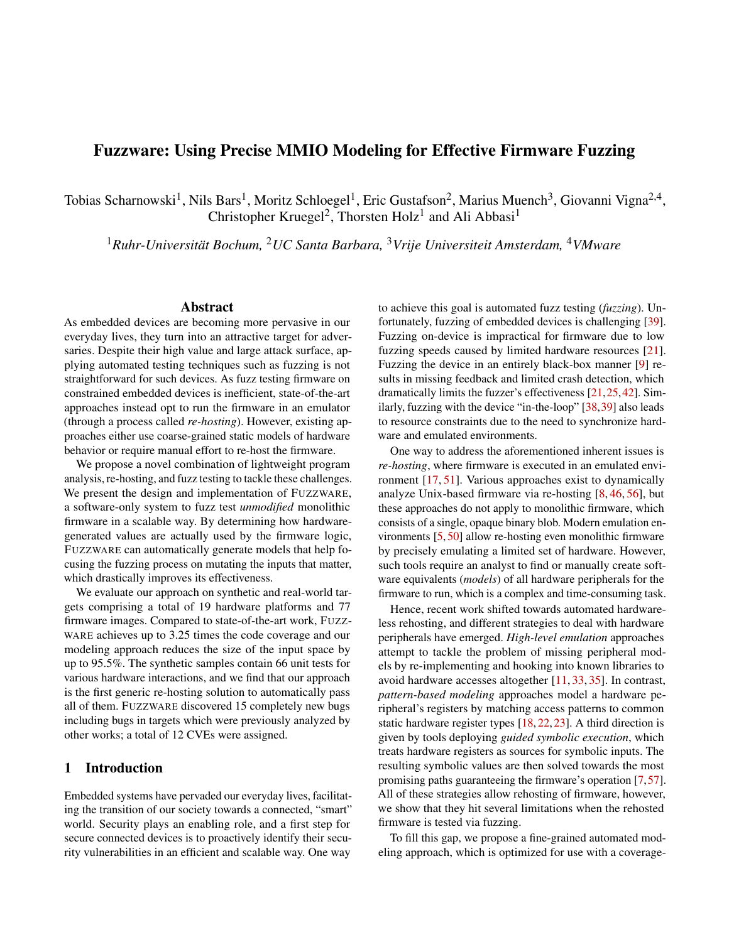- [15] Drew Davidson, Benjamin Moench, Thomas Ristenpart, [25] Jinho Jung, Hong Hu, David Solodukhin, Daniel Pagan, and Somesh Jha. FIE on rmware: Finding vulnerabilities in embedded systems using symbolic execution. In USENIX Security Symposiu@013.
- [16] Brendan Dolan-Gavitt, Josh Hodosh, Patrick Hulin, Tim [26] Markus Kammerstetter, Daniel Burian, and Wolfgang Leek, and Ryan Whelan. Repeatable reverse engineering with PANDA. In Program Protection and Reverse Engineering Workshop2015.
- [17] Andrew Fasano, Tiemoko Ballo, Marius Muench, Tim Leek, Alexander Bulekov, Brendan Dolan-Gavitt, Manuel Egele, Aurélien Francillon, Long Lu, Nick Gregory, et al. Sok: Enabling security analyses of embedded systems via rehosting. IACM Symposium on Information, Computer and Communications Security (ASI-ACCS) 2021.
- [18] Bo Feng, Alejandro Mera, and Long Lu. P2IM: Scalable and hardware-independent rmware testing via automatic peripheral interface modeling. USENIX Security Symposium 2020.
- [19] Andrea Fioraldi, Dominik Maier, Heiko Eißfeldt, and Marc Heuse. A ++: Combining incremental steps of fuzzing research. INSENIX Workshop on Offensive Technologies (WOOT2020.
- [20] Patrice Godefroid, Michael Y Levin, David A Molnar, et al. Automated whitebox fuzz testing. **Symposium** on Network and Distributed System Security (NDSS) 2008.
- [21] Emre Güler, Cornelius Aschermann, Ali Abbasi, and Thorsten Holz. AntiFuzz: Impeding fuzzing audits of binary executables. IDSENIX Security Symposium 2019.
- [22] Eric Gustafson, Marius Muench, Chad Spensky, Nilo Redini, Aravind Machiry, Yanick Fratantonio, Davide Balzarotti, Aurélien Francillon, Yung Ryn Choe, Christophe Kruegel, et al. Toward the analysis of embedded rmware through automated re-hosting. Symposium on Recent Advances in Intrusion Detection (RAID) 2019.
- [23] Lee Harrison, Hayawardh Vijayakumar, Rohan Padhye, Koushik Sen, and Michael Grace. PARTEMU: Enabling dynamic analysis of real-world TrustZone software us-[34] Yingtong Liu, Hsin-Wei Hung, and Ardalan Amiri Sani. ing emulation. InUSENIX Security Symposiu 2020.
- [24] Evan Johnson, Maxwell Bland, YiFei Zhu, Joshua Mason, Stephen Checkoway, Stefan Savage, and Kirill embedded systems. IJSENIX Security Symposium 2021.
- Kyu Hyung Lee, and Taesoo Kim. Fuzzi cation: Antifuzzing techniques. INSENIX Security Symposium 2019.
- Kastner. Embedded security testing with peripheral device caching and runtime program state approximation. In Conference on Emerging Security Information, Systems and Technologies (SECUWARE) 6.
- [27] Markus Kammerstetter, Christian Platzer, and Wolfgang Kastner. Prospect: Peripheral proxying supported embedded code testing. IACM Symposium on Information, Computer and Communications Security (ASI-ACCS) 2014.
- [28] Mingeun Kim, Dongkwan Kim, Eunsoo Kim, Suryeon Kim, Yeongjin Jang, and Yongdae Kim. Firmae: Towards large-scale emulation of iot rmware for dynamic analysis. InAnnual Computer Security Applications Conference (ACSAC<sub>2020</sub>.
- [29] George Klees, Andrew Ruef, Benji Cooper, Shiyi Wei, and Michael Hicks. Evaluating fuzz testing. ACM Conference on Computer and Communications Security  $(CCS)$ , 2018.
- [30] Karl Koscher, Tadayoshi Kohno, and David Molnar. SURROGATES: Enabling near-real-time dynamic analyses of embedded systems. USENIX Workshop on Offensive Technologies (WOQ 2015.
- [31] Karl Koscher, Stefan Savage, Franziska Roesner, Shwetak Patel, Tadayoshi Kohno, Alexei Czeskis, Damon Mc-Coy, Brian Kantor, Danny Anderson, Hovav Shacham, et al. Experimental security analysis of a modern automobile. InIEEE Symposium on Security and Privacy , 2010.
- [32] Edward Ashford Lee and Sanjit Arunkumar Seshira. troduction to Embedded Systems: A Cyber-Physical Systems ApproachThe MIT Press, 2nd edition, 2016.
- [33] Wengiang Li, Le Guan, Jinggiang Lin, Jiameng Shi, and Fengjun Li. From library portability to para-rehosting: Natively executing microcontroller software on commodity hardware. InSymposium on Network and Distributed System Security (NDS8021.
- Mousse: a system for selective symbolic execution of programs with untamed environments. Huropean Conference on Computer Syste $20.20$ .
- Levchenko. Jetset: Targeted rmware rehosting for [35] Dominik Maier, Lukas Seidel, and Shinjo Park. BaseSAFE. InACM Conference on Security and Privacy in Wireless and Mobile Networks (WiSex) 20.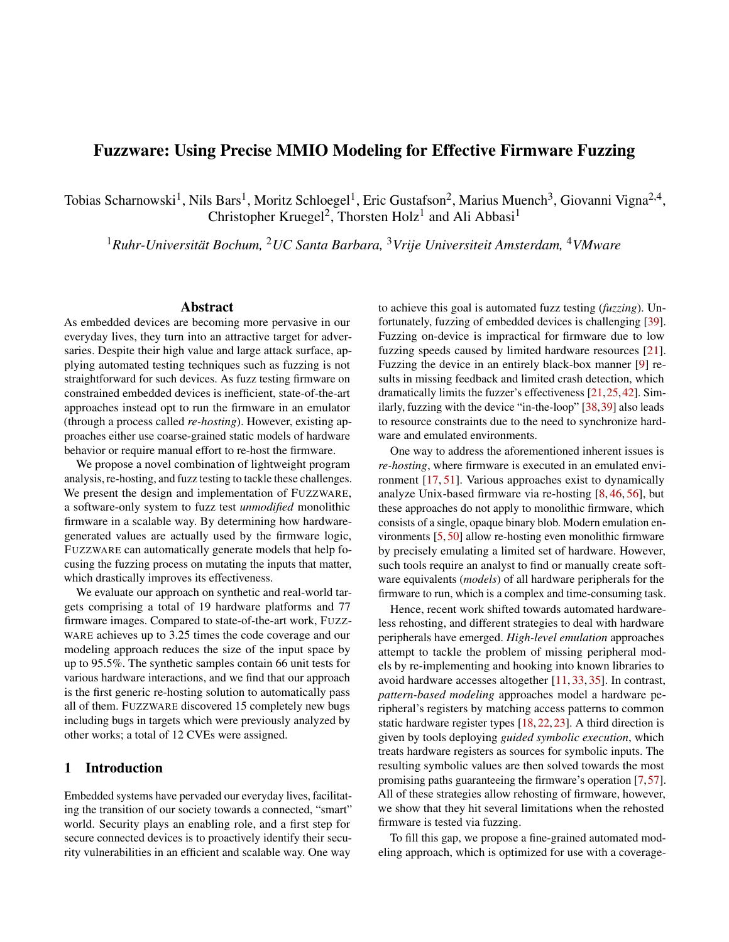- [36] Mbed OS. https://www.mbed:com/en/platform/ mbed-os/, 2020. Accessed: October 5, 2021.
- [37] Alejandro Mera, Bo Feng, Long Lu, Engin Kirda, and William Robertson. DICE: Automatic emulation of DMA input channels for dynamic rmware analysis. In IEEE Symposium on Security and Prival 2021.
- [38] Marius Muench, Aurélien Francillon, and Davide Balzarotti. Avatar2: A multi-target orchestration platform. In Workshop on Binary Analysis Research (BAR) 2018.
- [39] Marius Muench, Jan Stijohann, Frank Kargl, Aurélien Francillon, and Davide Balzarotti. What you corrupt is not what you crash: Challenges in fuzzing embedded devices. InSymposium on Network and Distributed System Security (NDSS2018.
- [40] Collin Mulliner, Nico Golde, and Jean-Pierre Seifert. SMS of death: From analyzing to attacking mobile phones on a large scale. USENIX Security Symposium, 2011.
- [41] Sanjay Rawat, Vivek Jain, Ashish Kumar, Lucian Cojocar, Cristiano Giuffrida, and Herbert Bos. VUzzer: Application-aware evolutionary fuzzing. Bymposium on Network and Distributed System Security (NDSS) 2017.
- Simon Wörner, and Thorsten Holz. Hyper-Cube: Highdimensional hypervisor fuzzing. Bymposium on Network and Distributed System Security (NDSSS)20.
- [43] Edward Schwartz, Thanassis Avgerinos, and David Brumley. All you ever wanted to know about dynamic taint analysis and forward symbolic execution (but might have been afraid to ask). IEEE Symposium on Security and Privacy, 2010.
- [44] Yan Shoshitaishvili, Ruoyu Wang, Christophe Hauser, Christopher Kruegel, and Giovanni Vigna. Firmalice: bilities in binary rmware. InSymposium on Network and Distributed System Security (NDS28)15.
- [45] Yan Shoshitaishvili, Ruoyu Wang, Christopher Salls, Nick Stephens, Mario Polino, Andrew Dutcher, John Grosen, Siji Feng, Christophe Hauser, Christopher [57] Kruegel, et al. SoK: (state of) the art of war: Offensive techniques in binary analysis. IEEE Symposium on Security and Privacy 2016.
- [46] Prashast Srivastava, Hui Peng, Jiahao Li, Hamed Okhravi, Howard Shrobe, and Mathias Payer. Firmfuzz: automated iot rmware introspection and analysis. In ACM Workshop on Security and Privacy for the Internetof-Things (IoT S&P) 2019.
- [47] Nick Stephens, John Grosen, Christopher Salls, Andrew Dutcher, Ruoyu Wang, Jacopo Corbetta, Yan Shoshitaishvili, Christopher Kruegel, and Giovanni Vigna. Driller: Augmenting fuzzing through selective symbolic execution. InSymposium on Network and Distributed System Security (NDSS2016.
- [48] Seyed Mohammadjavad Seyed Talebi, Hamid Tavakoli, Hang Zhang, Zheng Zhang, Ardalan Amiri Sani, and Zhiyun Qian. Charm: Facilitating dynamic analysis of device drivers of mobile systems. USENIX Security Symposium2018.
- [49] Unicorn Engine. https://www :unicornengine:org/ , 2017. Accessed: October 5, 2021.
- [50] Wind River SIMICS. https://www :windriver :com/ products/simics/ , 2020. Accessed: October 5, 2021.
- [51] Christopher Wright, William A Moeglein, Saurabh Bagchi, Milind Kulkarni, and Abraham A Clements. Challenges in rmware re-hosting, emulation, and analysis. ACM Computing Surveys (CSURD21.
- [52] Insu Yun, Sangho Lee, Meng Xu, Yeongjin Jang, and Taesoo Kim. QSYM: A practical concolic execution engine tailored for hybrid fuzzing. IDSENIX Security Symposium2018.
- [42] Sergej Schumilo, Cornelius Aschermann, Ali Abbasi, [53] Jonas Zaddach, Luca Bruno, Aurelien Francillon, and Davide Balzarotti. Avatar: A framework to support dynamic security analysis of embedded systems' -rmwares. InSymposium on Network and Distributed System Security (NDSS2014.
	- [54] Michal Zalewski. american fuzzy lop. http:// lcamtuf :coredumpcx/afl/ , 2017. Accessed: October 5, 2021.
	- [55] Zephyr Project.https://www :zephyrproject :org/, 2020. Accessed: October 5, 2021.
	- Automatic detection of authentication bypass vulnera-[56] Yaowen Zheng, Ali Davanian, Heng Yin, Chengyu Song, Hongsong Zhu, and Limin Sun. FIRM-AFL: Highthroughput greybox fuzzing of IoT rmware via augmented process emulation. USENIX Security Symposium, 2019.
		- Wei Zhou, Le Guan, Peng Liu, and Yuging Zhang. Automatic rmware emulation through invalidity-guided knowledge inference. I60th USENIX Security Symposium (USENIX Security 21USENIX Association, 2021.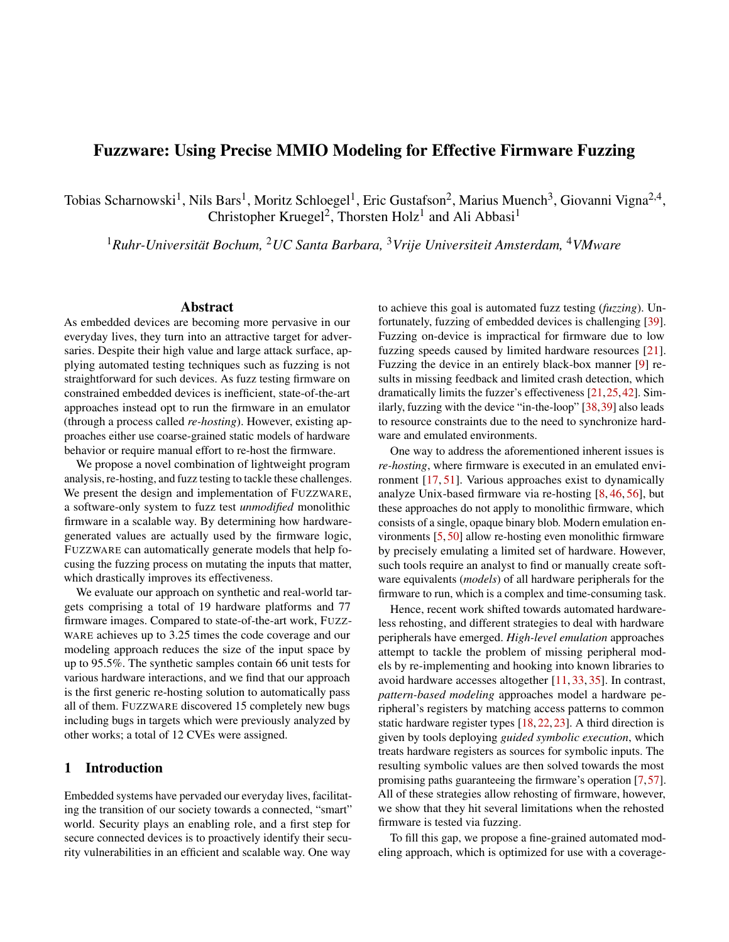# <span id="page-16-0"></span>A Appendix

Table 4: Hardware platforms and firmware samples used in FUZZWARE's evaluation.

| <b>Platform</b>    | <b>Firmware Samples</b>                                                                 |
|--------------------|-----------------------------------------------------------------------------------------|
| <b>ARCH_PRO</b>    | Password Discovery                                                                      |
| EFM32GG_STK3700    | Password_Discovery                                                                      |
| EFM32LG STK3600    | Password Discovery                                                                      |
| LPC1549            | Password Discovery                                                                      |
| LPC1768            | Password Discovery                                                                      |
| MAX32600           | RF Door Lock, Thermostat                                                                |
| MK64FN1M0VLL12     | P2IM unit tests, Console                                                                |
| MOTE L152RC        | Password Discovery                                                                      |
| NUCLEO_F207ZG      | Password Discovery                                                                      |
| SAM3X8E            | P2IM unit tests, Heat Press, Steering Control                                           |
| SAM3X/A            | <b>GPS</b> tracker                                                                      |
| SAMR <sub>21</sub> | 6LoWPAN Sender, 6LoWPAN Receiver                                                        |
| STM32F103RB        | Password Discovery, P2IM unit tests, Drone, Gateway, Reflow Oven, Robot, Soldering Iron |
| STM32F103RE        | 3Dprinter                                                                               |
| STM32F429ZI        | CNC, PLC, utasker MODBUS, utasker USB                                                   |
| STM32L152RE        | Password Discovery, XML Parser                                                          |
| STM32L431          | LiteOS_IoT                                                                              |
| STM32L432KC        | Zepyhr_SocketCan                                                                        |
| UBLOX C027         | Password Discovery                                                                      |

<span id="page-16-1"></span>

Figure 6: Time spent by FUZZWARE for character discovery on 10 synthetic firmware samples over ten 24h runs with and without modeling. Shown are individual timings (dots), the mean and 66% intervals. Each dot represents the point of time at which the character was solved by one run. Thus, if all ten runs succeed in finding a character, ten dots exist for this character. A high number of dots indicates consistency in finding the character, while dots positioned low indicate high speed in solving that character.